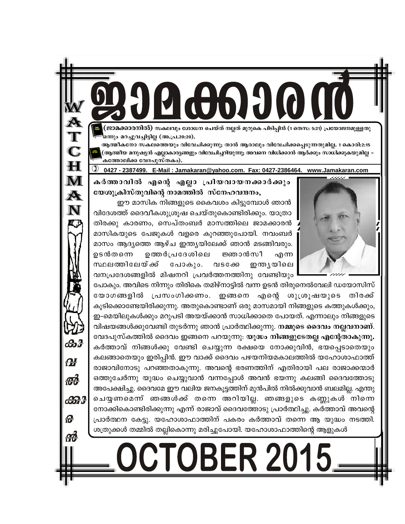'ജാമക്കാരനിൽ) സകലവും ശോധന ചെയ്ത് നല്ലത് മുറുകെ പിടിപ്പിൻ (1 തെസ: 5:21) പ്രയോജനമുള്ളതു ഒന്നും മറച്ചുവച്ചിട്ടില്ല (അ.പ്ര.20:20).

ആത്മീകനോ സകലത്തെയും വിവേചിക്കുന്നു; താൻ ആരാലും വിവേചിക്കപ്പെടുന്നതുമില്ല. 1 കൊരി:2:15 (ആത്മീയ മനുഷ്യൻ എല്ലാകാര്യങ്ങളും വിവേചിച്ചറിയുന്നു; അവനെ വിധിക്കാൻ ആർക്കും സാധിക്കുകയുമില്ല *-*കത്തോലിക്ക വേദപുസ്തകം).

0427 - 2387499. E-Mail: Jamakaran@yahoo.com. Fax: 0427-2386464. www.Jamakaran.com

കർത്താവിൽ എന്റെ എല്ലാ പ്രിയവായനക്കാർക്കും യേശുക്രിസ്തുവിന്റെ നാമത്തിൽ സ്നേഹവന്ദനം,

A

 $\mathbf C$ 

H

M

 $\boldsymbol{\mathbb{A}}$ 

N

கி

**M** 

for

යිති 3

Ð

ഈ മാസിക നിങ്ങളുടെ കൈവശം കിട്ടുമ്പോൾ ഞാൻ വിദേശത്ത് ദൈവീകശുശ്രൂഷ ചെയ്തുകൊണ്ടിരിക്കും. യാത്രാ തിരക്കു കാരണം, സെപ്തംബർ മാസത്തിലെ ജാമക്കാരൻ മാസികയുടെ പേജുകൾ വളരെ കുറഞ്ഞുപോയി. നവംബർ മാസം ആദ്യത്തെ ആഴ്ച ഇന്ത്യയിലേക്ക് ഞാൻ മടങ്ങിവരും. ഉടൻതന്നെ ഉത്തർപ്രദേശിലെ ജ്ഞാൻസീ എന്ന സ്ഥലത്തിലേയ് ക്ക് പോകും. വടക്കേ ഇന്ത്യയിലെ വനപ്രദേശങ്ങളിൽ മിഷനറി പ്രവർത്തനത്തിനു വേണ്ടിയും

പോകും. അവിടെ നിന്നും തിരികെ തമിഴ്നാട്ടിൽ വന്ന ഉടൻ തിരുനെൽവേലി ഡയോസിസ് യോഗങ്ങളിൽ പ്രസംഗിക്കണം. ഇങ്ങനെ എന്റെ ശുശ്രൂഷയുടെ തിരക്ക് കൂടിക്കൊണ്ടേയിരിക്കുന്നു. അതുകൊണ്ടാണ് ഒരു മാസമായി നിങ്ങളുടെ കത്തുകൾക്കും, ഇ-മെയിലുകൾക്കും മറുപടി അയയ്ക്കാൻ സാധിക്കാതെ പോയത്. എന്നാലും നിങ്ങളുടെ വിഷയങ്ങൾക്കുവേണ്ടി തുടർന്നു ഞാൻ പ്രാർത്ഥിക്കുന്നു. **നമ്മുടെ ദൈവം നല്ലവനാണ്**. വേദപുസ്കത്തിൽ ദൈവം ഇങ്ങനെ പറയുന്നു: യൂദ്ധം നിങ്ങളുടേതല്ല എന്റേതാകുന്നു. കർത്താവ് നിങ്ങൾക്കു വേണ്ടി ചെയ്യുന്ന രക്ഷയെ നോക്കുവിൻ, ഭയപ്പെടാതെയും കലങ്ങാതെയും ഇരിപ്പിൻ. ഈ വാക്ക് ദൈവം പഴയനിയമകാലത്തിൽ യഹോശാഫാത്ത് രാജാവിനോടു പറഞ്ഞതാകുന്നു. അവന്റെ ഭരണത്തിന് എതിരായി പല രാജാക്കന്മാർ ഒത്തുചേർന്നു യുദ്ധം ചെയ്യുവാൻ വന്നപ്പോൾ അവൻ ഭയന്നു കലങ്ങി ദൈവത്തോടു അപേക്ഷിച്ചു. ദൈവമേ ഈ വലിയ ജനകൂട്ടത്തിന് മുൻപിൽ നിൽക്കുവാൻ ബലമില്ല. എന്തു ചെയ്യണമെന്ന് ഞങ്ങൾക്ക് തന്നെ അറിയില്ല. ഞങ്ങളുടെ കണ്ണുകൾ നിന്നെ നോക്കികൊണ്ടിരിക്കുന്നു എന്ന് രാജാവ് ദൈവത്തോടു പ്രാർത്ഥിച്ചു. കർത്താവ് അവന്റെ പ്രാർത്ഥന കേട്ടു. യഹോശാഫാത്തിന് പകരം കർത്താവ് തന്നെ ആ യുദ്ധം നടത്തി. ശത്രുക്കൾ തമ്മിൽ തല്ലികൊന്നു മരിച്ചുപോയി. യഹോശാഫാത്തിന്റെ ആളുകൾ

# **DCTOBER 2015**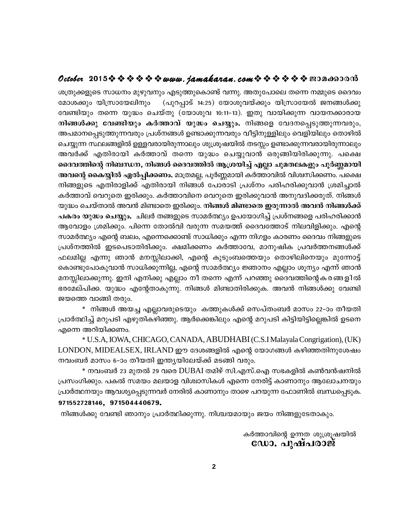## **October 2015www.jamakaran.comPma¡mc³**

ശത്രുക്കളുടെ സാധനം മുഴുവനും എടുത്തുകൊണ്ട് വന്നു. അതുപോലെ തന്നെ നമ്മുടെ ദൈവം മോശക്കും യിസ്രായേലിനും (പുറപ്പാട് 14:25) യോശുവയ്ക്കും യിസ്രായേൽ ജനങ്ങൾക്കു വേണ്ടിയും തന്നെ യുദ്ധം ചെയ്തു (യോശുവ 10:11-13). ഇതു വായിക്കുന്ന വായനക്കാരായ **Cccoce 2013 \* \* \* \* \* #444. 74Maka1a4. Com \* \* \* \* \* \* & EJU<del>do</del>DJGNO<br>ശത്രുക്കളുടെ സാധനം മുഴുവനും എടുത്തുകൊണ്ട് വന്നു. അതുപോലെ തന്നെ നമ്മുടെ ദൈവം<br>മോശക്കും യിസ്രായേലിനും (പുറപ്പാട് 14:25) യോശുവയ്ക്കും യിസ്രായേൽ ജനങ്ങൾക്** അപമാനപ്പെടുത്തുന്നവരും പ്രശ്നങ്ങൾ ഉണ്ടാക്കുന്നവരും വീട്ടിനുള്ളിലും വെളിയിലും തൊഴിൽ ചെയ്യുന്ന സ്ഥലങ്ങളിൽ ഉള്ളവരായിരുന്നാലും ശുശ്രൂഷയിൽ തടസ്സം ഉണ്ടാക്കുന്നവരായിരുന്നാലും വേണ്ടിയും തന്നെ യുദ്ധം ചെയ്തു (യോശുവ 10:11-13). ഇതു വായിക്കുന്ന വായനക്കാരായ<br>നിങ്ങൾക്കു വേണ്ടിയും കർത്താവ് യുദ്ധം ചെയ്യും. നിങ്ങളെ വേദനപ്പെടുത്തുന്നവരും,<br>അപമാനപ്പെടുത്തുന്നവരും പ്രശ്നങ്ങൾ ഉണ്ടാക്കുന്നവരും വീട്ടിനുള്ളിലും വ ദൈവത്തിന്റെ നിബന്ധന, നിങ്ങൾ ദൈവത്തിൽ ആശ്രയിച്ച് എല്ലാ ചുമതലകളും പൂർണ്ണമായി **അവന്റെ കൈയ്യിൽ ഏൽപ്പിക്കണം.** മാത്രമല്ല, പൂർണ്ണമായി കർത്താവിൽ വിശ്വസിക്കണം. പക്ഷെ നിങ്ങളുടെ എതിരാളിക്ക് എതിരായി നിങ്ങൾ പോരാടി പ്രശ്നം പരിഹരിക്കുവാൻ ശ്രമിച്ചാൽ കർത്താവ് വെറുതെ ഇരിക്കും. കർത്താവിനെ വെറുതെ ഇരിക്കുവാൻ അനുവദിക്കരുത്. നിങ്ങൾ യുദ്ധം ചെയ്താൽ അവൻ മിണ്ടാതെ ഇരിക്കും. **നിങ്ങൾ മിണ്ടാതെ ഇരുന്നാൽ അവൻ നിങ്ങൾക്ക് പകരം യുദ്ധം ചെയ്യും. ചി**ലർ തങ്ങളുടെ സാമർത്ഥ്യം ഉപയോഗിച്ച് പ്രശ്നങ്ങളെ പരിഹരിക്കാൻ ആവോളം ശ്രമിക്കും. പിന്നെ തോൽവി വരുന്ന സമയത്ത് ദൈവത്തോട് നിലവിളിക്കും. എന്റെ സാമർത്ഥ്യം എന്റെ ബലം, എന്നെക്കൊണ്ട് സാധിക്കും എന്ന നിഗളം കാരണം ദൈവം നിങ്ങളുടെ പ്രശ്നത്തിൽ ഇടപെടാതിരിക്കും. ക്ഷമിക്കണം കർത്താവേ, മാനുഷിക പ്രവർത്തനങ്ങൾക്ക്  $\Delta$ ലമില്ല എന്നു ഞാൻ മനസ്സിലാക്കി, എന്റെ കുടുംബത്തെയും തൊഴിലിനെയും മുന്നോട്ട് കൊണ്ടുപോകുവാൻ സാധിക്കുന്നില്ല, എന്റെ സാമർത്ഥ്യം ജ്ഞാനം എല്ലാം ശൂന്യം എന്ന് ഞാൻ സാമർത്ഥ്യം എന്റെ ബലം, എന്നെക്കൊണ്ട് സാധിക്കും എന്ന നിഗളം കാരണം ദൈവം നിങ്ങളുടെ<br>പ്രശ്നത്തിൽ ഇടപെടാതിരിക്കും. ക്ഷമിക്കണം കർത്താവേ, മാനുഷിക പ്രവർത്തനങ്ങൾക്ക്<br>ഫലമില്ല എന്നു ഞാൻ മനസ്സിലാക്കി, എന്റെ കുടുംബത്തെയും തൊഴി ഭരമേല്പിക്ക. യുദ്ധം എന്റേതാകുന്നു. നിങ്ങൾ മിണ്ടാതിരിക്കുക. അവൻ നിങ്ങൾക്കു വേണ്ടി ജയത്തെ വാങ്ങി തരും.

 $^*$  നിങ്ങൾ അയച്ച എല്ലാവരുടെയും കത്തുകൾക്ക് സെപ്തംബർ മാസം 22–ാം തീയതി പ്രാർത്ഥിച്ച് മറുപടി എഴുതികഴിഞ്ഞു. ആർക്കെങ്കിലും എന്റെ മറുപടി കിട്ടിയിട്ടില്ലെങ്കിൽ ഉടനെ എന്നെ അറിയിക്കണം.

\* U.S.A, IOWA, CHICAGO, CANADA,ABUDHABI(C.S.I Malayala Congrigation), (UK) LONDON, MIDEALSEX, IRLAND ഈ ദേശങ്ങളിൽ എന്റെ യോഗങ്ങൾ കഴിഞ്ഞതിനുശേഷം നവംബർ മാസം 6–ാം തീയതി ഇന്ത്യയിലേയ്ക്ക് മടങ്ങി വരും.

 $*$  നവംബർ 23 മുതൽ 29 വരെ DUBAI തമിഴ് സി.എസ്.ഐ സഭകളിൽ കൺവൻഷനിൽ പ്രസംഗിക്കും. പകൽ സമയം മലയാള വിശ്വാസികൾ എന്നെ നേരിട്ട് കാണാനും ആലോചനയും പ്രാർത്ഥനയും ആവശ്യപ്പെടുന്നവർ നേരിൽ കാണാനും താഴെ പറയുന്ന ഫോണിൽ ബന്ധപ്പെടുക. **971552728146, 971504440679.** ം താഴെ പറയുന്ന ഫോണരം ബന്ധപ്പെടുക.<br>ദയമായും ജയം നിങ്ങളുടേതാകും.<br>കർത്താവിന്റെ ഉന്നത ശുശ്രൂഷയിൽ<br>**ഭേഡാ. പുഷ്പരാജ്** 

നിങ്ങൾക്കു വേണ്ടി ഞാനും പ്രാർത്ഥിക്കുന്നു. നിശ്ചയമായും ജയം നിങ്ങളുടേതാകും.

ഡോ. പുഷ്പരാജ്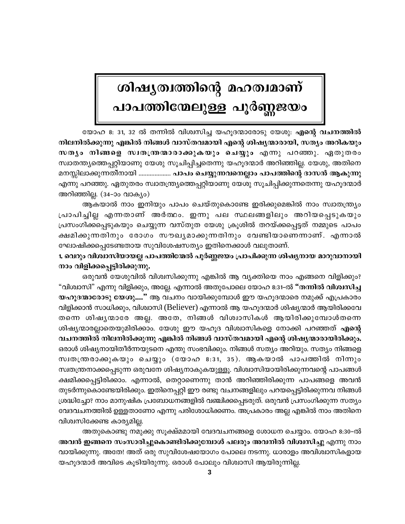# ശിഷൃത്വത്തിന്റെ മഹത്വമാണ് പാപത്തിന്മേലുള്ള പൂർണ്ണജയ<mark>ം</mark>

യോഹ 8: 31, 32 ൽ തന്നിൽ വിശ്വസിച്ച യഹൂദന്മാരോടു യേശു: എന്റെ വചനത്തിൽ നിലനിൽക്കുന്നു എങ്കിൽ നിങ്ങൾ വാസ്തവമായി എന്റെ ശിഷ്യന്മാരായി, സത്യം അറികയും സതൃം നിങ്ങളെ സ്വതന്ത്രന്മാരാക്കുകയും ചെയ്യും എന്നു പറഞ്ഞു. ഏതുതരം സ്വാതന്ത്യത്തെപ്പറ്റിയാണു യേശു സൂചിപ്പിച്ചതെന്നു യഹൂദന്മാർ അറിഞ്ഞില്ല. യേശു, അതിനെ മനസ്സിലാക്കുന്നതിനായി .................... പാപം ചെയ്യുന്നവനെല്ലാം പാപത്തിന്റെ ദാസൻ ആകുന്നു എന്നു പറഞ്ഞു. ഏതുതരം സ്വാതന്ത്ര്യത്തെപ്പറ്റിയാണു യേശു സൂചിപ്പിക്കുന്നതെന്നു യഹൂദന്മാർ അറിഞ്ഞില്ല. (34–ാം വാക്യം)

ആകയാൽ നാം ഇനിയും പാപം ചെയ്തുകൊണ്ടേ ഇരിക്കുമെങ്കിൽ നാം സ്വാതന്ത്ര്യം പ്രാപിച്ചില്ല എന്നതാണ് അർത്ഥം. ഇന്നു പല സ്ഥലങ്ങളിലും അറിയപ്പെടുകയും പ്രസംഗിക്കപ്പെടുകയും ചെയ്യുന്ന വസ്തുത യേശു ക്രൂശിൽ തറയ്ക്കപ്പെട്ടത് നമ്മുടെ പാപം ക്ഷമിക്കുന്നതിനും രോഗം സൗഖ്യമാക്കുന്നതിനും വേണ്ടിയാണെന്നാണ്. എന്നാൽ ഘോഷിക്കപ്പെടേണ്ടതായ സുവിശേഷസത്യം ഇതിനെക്കാൾ വലുതാണ്.

1. വെറും വിശ്വാസിയായല്ല പാപത്തിന്മേൽ പൂർണ്ണജയം പ്രാപിക്കുന്ന ശിഷ്യനായ മാറുവാനായി നാം വിളിക്കപ്പെട്ടിരിക്കുന്നു.

ഒരുവൻ യേശുവിൽ വിശ്വസിക്കുന്നു എങ്കിൽ ആ വ്യക്തിയെ നാം എങ്ങനെ വിളിക്കും? "വിശ്വാസി" എന്നു വിളിക്കും, അല്ലേ. എന്നാൽ അതുപോലെ യോഹ 8:31-ൽ **"തന്നിൽ വിശ്വസിച്ച** യഹുദന്മാരോടു യേശു...." ആ വചനം വായിക്കുമ്പോൾ ഈ യഹുദന്മാരെ നമുക്ക് എപ്രകാരം വിളിക്കാൻ സാധിക്കും, വിശ്വാസി (Believer) എന്നാൽ ആ യഹുദന്മാർ ശിഷ്യന്മാർ ആയിരിക്കവേ തന്നെ ശിഷ്യന്മാരേ അല്ല. അതേ, നിങ്ങൾ വിശ്വാസികൾ ആയിരിക്കുമ്പോൾതന്നെ ശിഷ്യന്മാരല്ലാതെയുമിരിക്കാം. യേശു ഈ യഹൂദ വിശ്വാസികളെ നോക്കി പറഞ്ഞത് എന്റെ വചനത്തിൽ നിലനിൽക്കുന്നു എങ്കിൽ നിങ്ങൾ വാസ്തവമായി എന്റെ ശിഷ്യന്മാരായിരിക്കും. ഒരാൾ ശിഷ്യനായിതീർന്നയുടനെ എന്തു സംഭവിക്കും. നിങ്ങൾ സത്യം അറിയും. സത്യം നിങ്ങളെ സ്വതന്ത്രരാക്കുകയും ചെയ്യും (യോഹ 8:31, 35). ആകയാൽ പാപത്തിൽ നിന്നും സ്വതന്ത്രനാക്കപ്പെടുന്ന ഒരുവനേ ശിഷ്യനാകുകയുള്ളൂ. വിശ്വാസിയായിരിക്കുന്നവന്റെ പാപങ്ങൾ ക്ഷമിക്കപ്പെട്ടിരിക്കാം. എന്നാൽ, തെറ്റാണെന്നു താൻ അറിഞ്ഞിരിക്കുന്ന പാപങ്ങളെ അവൻ തുടർന്നുകൊണ്ടേയിരിക്കും. ഇതിനെപ്പറ്റി ഈ രണ്ടു വചനങ്ങളിലും പറയപ്പെട്ടിരിക്കുന്നവ നിങ്ങൾ ശ്രദ്ധിച്ചോ? നാം മാനുഷിക പ്രബോധനങ്ങളിൽ വഞ്ചിക്കപ്പെടരുത്. ഒരുവൻ പ്രസംഗിക്കുന്ന സത്യം വേദവചനത്തിൽ ഉള്ളതാണോ എന്നു പരിശോധിക്കണം. അപ്രകാരം അല്ല എങ്കിൽ നാം അതിനെ വിശ്വസിക്കേണ്ട കാര്യമില്ല.

അതുകൊണ്ടു നമുക്കു സൂക്ഷ്മമായി വേദവചനങ്ങളെ ശോധന ചെയ്യാം. യോഹ 8:30–ൽ അവൻ ഇങ്ങനെ സംസാരിച്ചുകൊണ്ടിരിക്കുമ്പോൾ പലരും അവനിൽ വിശ്വസിച്ചു എന്നു നാം വായിക്കുന്നു. അതേ! അത് ഒരു സുവിശേഷയോഗം പോലെ നടന്നു. ധാരാളം അവിശ്വാസികളായ യഹൂദന്മാർ അവിടെ കൂടിയിരുന്നു. ഒരാൾ പോലും വിശ്വാസി ആയിരുന്നില്ല.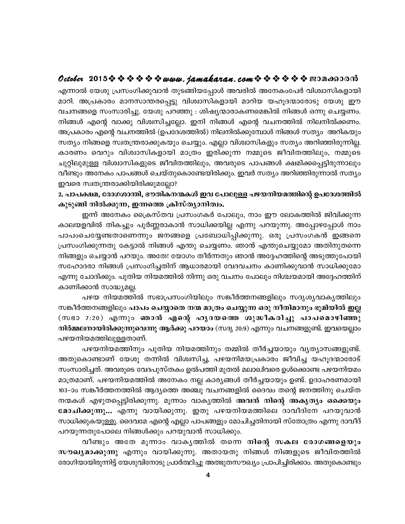## October 2015 \* \* \* \* \* \* www.jamakaran.com \* \* \* \* \* \* \* 2010-00010

എന്നാൽ യേശു പ്രസംഗിക്കുവാൻ തുടങ്ങിയപ്പോൾ അവരിൽ അനേകംപേർ വിശ്വാസികളായി മാറി. അപ്രകാരം മാനസാന്തരപ്പെട്ടു വിശ്വാസികളായി മാറിയ യഹൂദന്മാരോടു യേശു ഈ വചനങ്ങളെ സംസാരിച്ചു. യേശു പറഞ്ഞു : ശിഷ്യന്മാരാകണമെങ്കിൽ നിങ്ങൾ ഒന്നു ചെയ്യണം. നിങ്ങൾ എന്റെ വാക്കു വിശ്വസിച്ചല്ലോ. ഇനി നിങ്ങൾ എന്റെ വചനത്തിൽ നിലനിൽക്കണം. അപ്രകാരം എന്റെ വചനത്തിൽ (ഉപദേശത്തിൽ) നിലനിൽക്കുമ്പോൾ നിങ്ങൾ സത്യം അറികയും സത്യം നിങ്ങളെ സ്വതന്ത്രരാക്കുകയും ചെയ്യും. എല്ലാ വിശ്വാസികളും സത്യം അറിഞ്ഞിരുന്നില്ല. കാരണം വെറും വിശ്വാസികളായി മാത്രം ഇരിക്കുന്ന നമ്മുടെ ജീവിതത്തിലും, നമ്മുടെ ചുറ്റിലുമുള്ള വിശ്വാസികളുടെ ജീവിതത്തിലും, അവരുടെ പാപങ്ങൾ ക്ഷമിക്കപ്പെട്ടിരുന്നാലും വീണ്ടും അനേകം പാപങ്ങൾ ചെയ്തുകൊണ്ടേയിരിക്കും. ഇവർ സത്യം അറിഞ്ഞിരുന്നാൽ സത്യം ഇവരെ സ്വതന്ത്രരാക്കിയിരിക്കുമല്ലോ?

2. പാപക്ഷമ, രോഗശാന്തി, ഭൗതികനന്മകൾ ഇവ പോലുള്ള പഴയനിയമത്തിന്റെ ഉപദേശത്തിൽ കുടുങ്ങി നിൽക്കുന്ന, ഇന്നത്തെ ക്രിസ്ത്യാനിത്വം.

ഇന്ന് അനേകം പ്രൈസ്തവ പ്രസംഗകർ പോലും, നാം ഈ ലോകത്തിൽ ജിവിക്കുന്ന കാലയളവിൽ തികച്ചും പൂർണ്ണരാകാൻ സാധിക്കയില്ല എന്നു പറയുന്നു. അപ്പോഴപ്പോൾ നാം പാപംചെയ്യേണ്ടതാണെന്നും ജനങ്ങളെ പ്രബോധിപ്പിക്കുന്നു. ഒരു പ്രസംഗകൻ ഇങ്ങനെ പ്രസംഗിക്കുന്നതു കേട്ടാൽ നിങ്ങൾ എന്തു ചെയ്യണം. ഞാൻ എന്തുചെയ്യുമോ അതിനുതന്നെ നിങ്ങളും ചെയ്യാൻ പറയും. അതേ! യോഗം തീർന്നതും ഞാൻ അദ്ദേഹത്തിന്റെ അടുത്തുപോയി സഹോദരാ നിങ്ങൾ പ്രസംഗിച്ചതിന് ആധാരമായി വേദവചനം കാണിക്കുവാൻ സാധിക്കുമോ എന്നു ചോദിക്കും. പുതിയ നിയമത്തിൽ നിന്നു ഒരു വചനം പോലും നിശ്ചയമായി അദ്ദേഹത്തിന് കാണിക്കാൻ സാദ്ധ്യമല്ല.

പഴയ നിയമത്തിൽ സഭാപ്രസംഗിയിലും സങ്കീർത്തനങ്ങളിലും സദൃശ്യവാകൃത്തിലും സങ്കീർത്തനങ്ങളിലും പാപം ചെയ്യാതെ നന്മ മാത്രം ചെയ്യുന്ന ഒരു നീതിമാനും ഭൂമിയിൽ ഇല്ല (സഭാ 7:20) എന്നും ഞാൻ എന്റെ ഹൃദയത്തെ ശുദ്ധീകരിച്ചു പാപമൊഴിഞ്ഞു നിർമ്മലനായിരിക്കുന്നുവെന്നു ആർക്കു പറയാം (സദൃ 20:9) എന്നും വചനങ്ങളുണ്ട്. ഇവയെല്ലാം പഴയനിയമത്തിലുള്ളതാണ്.

പഴയനിയമത്തിനും പുതിയ നിയമത്തിനും തമ്മിൽ തീർച്ചയായും വ്യത്യാസങ്ങളുണ്ട്. അതുകൊണ്ടാണ് യേശു തന്നിൽ വിശ്വസിച്ച, പഴയനിമയപ്രകാരം ജീവിച്ച യഹൂദന്മാരോട് സംസാരിച്ചത്. അവരുടെ വേദപുസ്തകം ഉൽപത്തി മുതൽ മലാഖിവരെ ഉൾക്കൊണ്ട പഴയനിയമം മാത്രമാണ്. പഴയനിയമത്തിൽ അനേകം നല്ല കാര്യങ്ങൾ തീർച്ചയായും ഉണ്ട്. ഉദാഹരണമായി 103-ാം സങ്കീർത്തനത്തിൽ ആദ്യത്തെ അഞ്ചു വചനങ്ങളിൽ ദൈവം തന്റെ ജനത്തിനു ചെയ്ത നന്മകൾ എഴുതപ്പെട്ടിരിക്കുന്നു. മൂന്നാം വാകൃത്തിൽ അവൻ നിന്റെ അകൃത്യം ഒക്കെയും മോചിക്കുന്നു... എന്നു വായിക്കുന്നു. ഇതു പഴയനിയമത്തിലെ ദാവീദിനേ പറയുവാൻ സാധിക്കുകയുള്ളൂ. ദൈവമേ എന്റെ എല്ലാ പാപങ്ങളും മോചിച്ചതിനായി സ്തോത്രം എന്നു ദാവീദ് പറയുന്നതുപോലെ നിങ്ങൾക്കും പറയുവാൻ സാധിക്കും.

വീണ്ടും അതേ മൂന്നാം വാകൃത്തിൽ തന്നെ നിന്റെ സകല രോഗങ്ങളെയും സൗഖ്യമാക്കുന്നു എന്നും വായിക്കുന്നു. അതായതു നിങ്ങൾ നിങ്ങളുടെ ജീവിതത്തിൽ രോഗിയായിരുന്നിട്ട് യേശുവിനോടു പ്രാർത്ഥിച്ചു അത്ഭുതസൗഖ്യം പ്രാപിച്ചിരിക്കാം. അതുകൊണ്ടും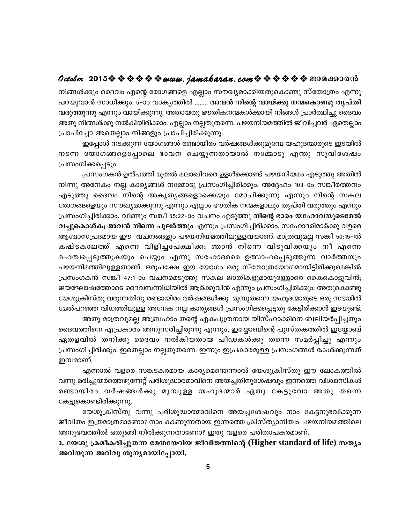## October 2015  $\diamond$   $\diamond$   $\diamond$   $\diamond$   $\diamond$   $\diamond$  www. jamakaran.com  $\diamond$   $\diamond$   $\diamond$   $\diamond$   $\diamond$   $\diamond$  exondood

നിങ്ങൾക്കും ദൈവം എന്റെ രോഗങ്ങളെ എല്ലാം സൗഖ്യമാക്കിയതുകൊണ്ടു സ്തോത്രം എന്നു പറയുവാൻ സാധിക്കും. 5–ാം വാകൃത്തിൽ ........ അവൻ നിന്റെ വായ്ക്കു നന്മകൊണ്ടു തൃപ്തി വരുത്തുന്നു എന്നും വായിക്കുന്നു. അതായതു ഭൗതികനന്മകൾക്കായി നിങ്ങൾ പ്രാർത്ഥിച്ചു ദൈവം അതു നിങ്ങൾക്കു നൽകിയിരിക്കാം. എല്ലാം നല്ലതുതന്നെ. പഴയനിയമത്തിൽ ജീവിച്ചവർ ഏതെല്ലാം പ്രാപിച്ചോ അതെല്ലാം നിങ്ങളും പ്രാപിച്ചിരിക്കുന്നു.

ഇപ്പോൾ നടക്കുന്ന യോഗങ്ങൾ രണ്ടായിരം വർഷങ്ങൾക്കുമുമ്പേ യഹൂദന്മാരുടെ ഇടയിൽ നടന്ന യോഗങ്ങളെപ്പോലെ ഭാവന ചെയ്യുന്നതായാൽ നമ്മോടു എന്തു സുവിശേഷം പ്രസംഗിക്കപ്പെടും.

പ്രസംഗകൻ ഉൽപത്തി മുതൽ മലാഖിവരെ ഉളൾക്കൊണ്ട് പഴയനിയമം എടുത്തു അതിൽ നിന്നു അനേകം നല്ല കാര്യങ്ങൾ നമ്മോടു പ്രസംഗിച്ചിരിക്കും. അദ്ദേഹം 103–ാം സങ്കീർത്തനം എടുത്തു ദൈവം നിന്റെ അകൃതൃങ്ങളൊക്കെയും മോചിക്കുന്നു എന്നും നിന്റെ സകല രോഗങ്ങളെയും സൗഖ്യമാക്കുന്നു എന്നും എല്ലാം ഭൗതിക നന്മകളാലും തൃപ്തി വരുത്തും എന്നും പ്രസംഗിച്ചിരിക്കാം. വീണ്ടും സങ്കീ 55:22-ാം വചനം എടുത്തു <mark>നിന്റെ ഭാരം യഹോവയുടെമേൽ</mark> വച്ചുകൊൾക; അവൻ നിന്നെ പുലർത്തും എന്നും പ്രസംഗിച്ചിരിക്കാം. സഹോദരിമാർക്കു വളരെ ആശ്വാസപ്രദമായ ഈ വചനങ്ങളും പഴയനിയമത്തിലുള്ളവയാണ്. മാത്രവുമല്ല സങ്കീ 50:15–ൽ കഷ്ടകാലത്ത് എന്നെ വിളിച്ചപേക്ഷിക്ക; ഞാൻ നിന്നെ വിടുവിക്കയും നീ എന്നെ മഹത്വപ്പെടുത്തുകയും ചെയ്യും എന്നു സഹോദരരെ ഉത്സാഹപ്പെടുത്തുന്ന വാർത്തയും പഴയനിമത്തിലുള്ളതാണ്. ഒരുപക്ഷേ ഈ യോഗം ഒരു സ്തോത്രയോഗമായിട്ടിരിക്കുമെങ്കിൽ പ്രസംഗകൻ സങ്കീ 47:1-ാം വചനമെടുത്തു സകല ജാതികളുമായുള്ളോരെ കൈകൊട്ടുവിൻ; ജയഘോഷത്തോടെ ദൈവസന്നിധിയിൽ ആർക്കുവിൻ എന്നും പ്രസംഗിച്ചിരിക്കും. അതുകൊണ്ടു യേശുക്രിസ്തു വരുന്നതിനു രണ്ടായിരം വർഷങ്ങൾക്കു മുമ്പുതന്നെ യഹൂദന്മാരുടെ ഒരു സഭയിൽ മേൽപറഞ്ഞ വിധത്തിലുള്ള അനേക നല്ല കാര്യങ്ങൾ പ്രസംഗിക്കപ്പെട്ടതു കേട്ടിരിക്കാൻ ഇടയുണ്ട്. അതു മാത്രവുമല്ല അബ്രഹാം തന്റെ ഏകപുത്രനായ യിസ്ഹാക്കിനെ ബലിയർപ്പിച്ചതും

ദൈവത്തിനെ എപ്രകാരം അനുസരിച്ചിരുന്നു എന്നും, ഇയ്യോബിന്റെ പുസ്തകത്തിൽ ഇയ്യോബ് ഏതളവിൽ തനിക്കു ദൈവം നൽകിയതായ പീഢകൾക്കു തന്നെ സമർപ്പിച്ചു എന്നും പ്രസംഗിച്ചിരിക്കും. ഇതെല്ലാം നല്ലതുതന്നെ. ഇന്നും ഇപ്രകാരമുള്ള പ്രസംഗങ്ങൾ കേൾക്കുന്നത് ഇമ്പമാണ്.

എന്നാൽ വളരെ സങ്കടകരമായ കാര്യമെന്തെന്നാൽ യേശുക്രിസ്തു ഈ ലോകത്തിൽ വന്നു മരിച്ചുയർത്തെഴുന്നേറ്റ് പരിശുദ്ധാത്മാവിനെ അയച്ചതിനുശേഷവും ഇന്നത്തെ വിശ്വാസികൾ രണ്ടായിരം വർഷങ്ങൾക്കു മുമ്പുള്ള യഹൂദന്മാർ ഏതു കേട്ടുവോ അതു തന്നെ കേട്ടുകൊണ്ടിരിക്കുന്നു.

യേശുക്രിസ്തു വന്നു പരിശുദ്ധാത്മാവിനെ അയച്ചശേഷവും നാം കേട്ടനുഭവിക്കുന്ന ജീവിതം ഇത്രമാത്രമാണോ? നാം കാണുന്നതായ ഇന്നത്തെ ക്രിസ്ത്യാനിത്വം പഴയനിയമത്തിലെ അനുഭവത്തിൽ ഒതുങ്ങി നിൽക്കുന്നതാണോ? ഇതു വളരെ പരിതാപകരമാണ്.

3. യേശു ക്രമീകരിച്ചുതന്ന മേന്മയേറിയ ജീവിതത്തിന്റെ (Higher standard of life) സത്യം അറിയുന്ന അറിവു ശൂന്യമായിപ്പോയി.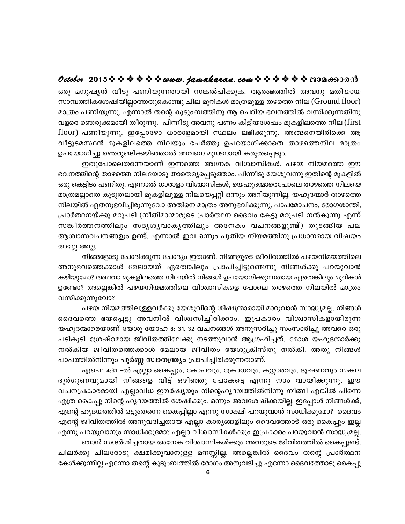## October 2015  $\diamond$   $\diamond$   $\diamond$   $\diamond$   $\diamond$   $\diamond$  www.jamakaran.com  $\diamond$   $\diamond$   $\diamond$   $\diamond$   $\diamond$   $\diamond$  exondood

ഒരു മനുഷ്യൻ വീടു പണിയുന്നതായി സങ്കൽപിക്കുക. ആരംഭത്തിൽ അവനു മതിയായ സാമ്പത്തികശേഷിയില്ലാത്തതുകൊണ്ടു ചില മുറികൾ മാത്രമുള്ള തഴത്തെ നില $($  Ground f $|$ മാത്രം പണിയുന്നു. എന്നാൽ തന്റെ കുടുംബത്തിനു ആ ചെറിയ ഭവനത്തിൽ വസിക്കുന്നതിനു വളരെ ഞെരുക്കമായി തീരുന്നു. പിന്നീടു അവനു പണം കിട്ടിയശേഷം മുകളിലത്തെ നില (first floor) പണിയുന്നു. ഇപ്പോഴോ ധാരാളമായി സ്ഥലം ലഭിക്കുന്നു. അങ്ങനെയിരിക്കെ ആ വീട്ടുടമസ്ഥൻ മുകളിലത്തെ നിലയും ചേർത്തു ഉപയോഗിക്കാതെ താഴത്തെനില മാത്രം ഉപയോഗിച്ചു ഞെരുങ്ങിക്കഴിഞ്ഞാൽ അവനെ മൂഢനായി കരുതപ്പെടും.

ഇതുപോലെതന്നെയാണ് ഇന്നത്തെ അനേക വിശ്വാസികൾ. പഴയ നിയമത്തെ ഈ ഭവനത്തിന്റെ താഴത്തെ നിലയോടു താരതമ്യപ്പെടുത്താം. പിന്നീടു യേശുവന്നു ഇതിന്റെ മുകളിൽ ഒരു കെട്ടിടം പണിതു. എന്നാൽ ധാരാളം വിശ്വാസികൾ, യെഹൂദന്മാരെപോലെ താഴത്തെ നിലയെ മാത്രമല്ലാതെ കൂടുതലായി മുകളിലുള്ള നിലയെപ്പറ്റി ഒന്നും അറിയുന്നില്ല. യഹൂദന്മാർ താഴത്തെ നിലയിൽ ഏതനുഭവിച്ചിരുന്നുവോ അതിനെ മാത്രം അനുഭവിക്കുന്നു. പാപമോചനം, രോഗശാന്തി, പ്രാർത്ഥനയ്ക്കു മറുപടി (നീതിമാന്മാരുടെ പ്രാർത്ഥന ദൈവം കേട്ടു മറുപടി നൽകുന്നു എന്ന് സങ്കീർത്തനത്തിലും സദൃശൃവാകൃത്തിലും അനേകം വചനങ്ങളുണ്ട്) തുടങ്ങിയ പല ആശ്വാസവചനങ്ങളും ഉണ്ട്. എന്നാൽ ഇവ ഒന്നും പുതിയ നിയമത്തിനു പ്രധാനമായ വിഷയം അല്ലേ അല്ല.

നിങ്ങളോടു ചോദിക്കുന്ന ചോദ്യം ഇതാണ്. നിങ്ങളുടെ ജീവിതത്തിൽ പഴയനിമയത്തിലെ അനുഭവത്തെക്കാൾ മേലായത് ഏതെങ്കിലും പ്രാപിച്ചിട്ടുണ്ടെന്നു നിങ്ങൾക്കു പറയുവാൻ കഴിയുമോ? അഥവാ മുകളിലത്തെ നിലയിൽ നിങ്ങൾ ഉപയോഗിക്കുന്നതായ ഏതെങ്കിലും മുറികൾ ഉണ്ടോ? അല്ലെങ്കിൽ പഴയനിയമത്തിലെ വിശ്വാസികളെ പോലെ താഴത്തെ നിലയിൽ മാത്രം വസിക്കുന്നുവോ?

പഴയ നിയമത്തിലുള്ളവർക്കു യേശുവിന്റെ ശിഷ്യന്മാരായി മാറുവാൻ സാദ്ധ്യമല്ല. നിങ്ങൾ ദൈവത്തെ ഭയപ്പെട്ടു അവനിൽ വിശ്വസിച്ചിരിക്കാം. ഇപ്രകാരം വിശ്വാസികളായിരുന്ന യഹൂദന്മാരെയാണ് യേശു യോഹ 8: 31, 32 വചനങ്ങൾ അനുസരിച്ചു സംസാരിച്ചു അവരെ ഒരു പടികൂടി ശ്രേഷ്ഠമായ ജീവിതത്തിലേക്കു നടത്തുവാൻ ആഗ്രഹിച്ചത്. മോശ യഹൂദന്മാർക്കു നൽകിയ ജീവിതത്തെക്കാൾ മേലായ ജീവിതം യേശുക്രിസ്തു നൽകി. അതു നിങ്ങൾ പാപത്തിൽനിന്നും **പൂർണ്ണ സ്വാതന്ത്ര്യം** പ്രാപിച്ചിരിക്കുന്നതാണ്.

എഫെ 4:31 –ൽ എല്ലാ കൈപ്പും, കോപവും, ക്രോധവും, കുറ്റാരവും, ദൂഷണവും സകല ദുർഗുണവുമായി നിങ്ങളെ വിട്ട് ഒഴിഞ്ഞു പോകട്ടെ എന്നു നാം വായിക്കുന്നു. ഈ വചനപ്രകാരമായി എല്ലാവിധ ഈർഷ്യയും നിന്റെഹൃദയത്തിൽനിന്നു നീങ്ങി എങ്കിൽ പിന്നെ എത്ര കൈപ്പു നിന്റെ ഹൃദയത്തിൽ ശേഷിക്കും. ഒന്നും അവശേഷിക്കയില്ല. ഇപ്പോൾ നിങ്ങൾക്ക്, എന്റെ ഹൃദയത്തിൽ ഒട്ടുംതന്നെ കൈപ്പില്ലാ എന്നു സാക്ഷി പറയുവാൻ സാധിക്കുമോ? ദൈവം എന്റെ ജീവിതത്തിൽ അനുവദിച്ചതായ എല്ലാ കാര്യങ്ങളിലും ദൈവത്തോട് ഒരു കൈപ്പും ഇല്ല എന്നു പറയുവാനും സാധിക്കുമോ? എല്ലാ വിശ്വാസികൾക്കും ഇപ്രകാരം പറയുവാൻ സാദ്ധ്യമല്ല. ഞാൻ സന്ദർശിച്ചതായ അനേക വിശ്വാസികൾക്കും അവരുടെ ജീവിതത്തിൽ കൈപ്പുണ്ട്. ചിലർക്കു ചിലരോടു ക്ഷമിക്കുവാനുള്ള മനസ്സില്ല. അല്ലെങ്കിൽ ദൈവം തന്റെ പ്രാർത്ഥന കേൾക്കുന്നില്ല എന്നോ തന്റെ കുടുംബത്തിൽ രോഗം അനുവദിച്ചു എന്നോ ദൈവത്തോടു കൈപ്പു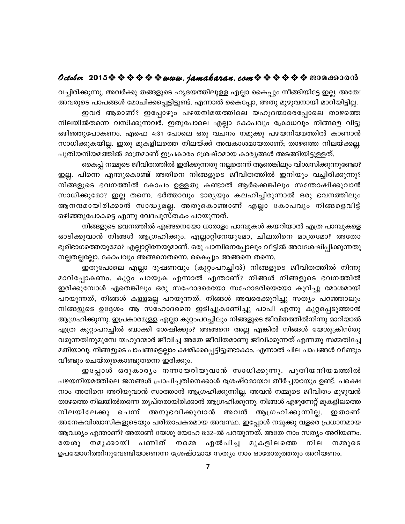## October 2015  $\diamond$   $\diamond$   $\diamond$   $\diamond$   $\diamond$   $\diamond$  www.jamakaran.com  $\diamond$   $\diamond$   $\diamond$   $\diamond$   $\diamond$   $\diamond$   $\diamond$  200 as 300

വച്ചിരിക്കുന്നു. അവർക്കു തങ്ങളുടെ ഹൃദയത്തിലുള്ള എല്ലാ കൈപ്പും നീങ്ങിയിട്ടേ ഇല്ല. അതേ! അവരുടെ പാപങ്ങൾ മോചിക്കപ്പെട്ടിട്ടുണ്ട്. എന്നാൽ കൈപ്പോ, അതു മുഴുവനായി മാറിയിട്ടില്ല.

ഇവർ ആരാണ്? ഇപ്പോഴും പഴയനിമയത്തിലെ യഹൂദന്മാരെപ്പോലെ താഴത്തെ നിലയിൽതന്നെ വസിക്കുന്നവർ. ഇതുപോലെ എല്ലാ കോപവും ക്രോധവും നിങ്ങളെ വിട്ടു ഒഴിഞ്ഞുപോകണം. എഫെ 4:31 പോലെ ഒരു വചനം നമുക്കു പഴയനിയമത്തിൽ കാണാൻ സാധിക്കുകയില്ല. ഇതു മുകളിലത്തെ നിലയ്ക്ക് അവകാശമായതാണ്; താഴത്തെ നിലയ്ക്കല്ല. പുതിയനിയമത്തിൽ മാത്രമാണ് ഇപ്രകാരം ശ്രേഷ്ഠമായ കാര്യങ്ങൾ അടങ്ങിയിട്ടുള്ളത്.

കൈപ്പ് നമ്മുടെ ജീവിതത്തിൽ ഇരിക്കുന്നതു നല്ലതെന്ന് ആരെങ്കിലും വിശ്വസിക്കുന്നുണ്ടോ? ഇല്ല. പിന്നെ എന്തുകൊണ്ട് അതിനെ നിങ്ങളുടെ ജീവിതത്തിൽ ഇനിയും വച്ചിരിക്കുന്നു? നിങ്ങളുടെ ഭവനത്തിൽ കോപം ഉള്ളതു കണ്ടാൽ ആർക്കെങ്കിലും സന്തോഷിക്കുവാൻ സാധിക്കുമോ? ഇല്ല തന്നെ. ഭർത്താവും ഭാര്യയും കലഹിച്ചിരുന്നാൽ ഒരു ഭവനത്തിലും ആനന്ദമായിരിക്കാൻ സാദ്ധ്യമല്ല. അതുകൊണ്ടാണ് എല്ലാ കോപവും നിങ്ങളെവിട്ട് ഒഴിഞ്ഞുപോകട്ടെ എന്നു വേദപുസ്തകം പറയുന്നത്.

നിങ്ങളുടെ ഭവനത്തിൽ എങ്ങനെയോ ധാരാളം പാമ്പുകൾ കയറിയാൽ എത്ര പാമ്പുകളെ ഓടിക്കുവാൻ നിങ്ങൾ ആഗ്രഹിക്കും. എല്ലാറ്റിനേയുമോ, ചിലതിനെ മാത്രമോ? അതോ ഭൂരിഭാഗത്തെയുമോ? എല്ലാറ്റിനേയുമാണ്. ഒരു പാമ്പിനെപ്പോലും വീട്ടിൽ അവശേഷിപ്പിക്കുന്നതു നല്ലതല്ലല്ലോ. കോപവും അങ്ങനെതന്നെ. കൈപ്പും അങ്ങനെ തന്നെ.

ഇതുപോലെ എല്ലാ ദൂഷണവും (കുറ്റംപറച്ചിൽ) നിങ്ങളുടെ ജീവിതത്തിൽ നിന്നു മാറിപ്പോകണം. കുറ്റം പറയുക എന്നാൽ എന്താണ്? നിങ്ങൾ നിങ്ങളുടെ ഭവനത്തിൽ ഇരിക്കുമ്പോൾ ഏതെങ്കിലും ഒരു സഹോദരെയോ സഹോദരിയെയോ കുറിച്ചു മോശമായി പറയുന്നത്, നിങ്ങൾ കള്ളമല്ല പറയുന്നത്. നിങ്ങൾ അവരെക്കുറിച്ചു സത്യം പറഞ്ഞാലും നിങ്ങളുടെ ഉദ്ദേശം ആ സഹോദരനെ ഇടിച്ചുകാണിച്ചു പാപി എന്നു കുറ്റപ്പെടുത്താൻ ആഗ്രഹിക്കുന്നു. ഇപ്രകാരമുള്ള എല്ലാ കുറ്റംപറച്ചിലും നിങ്ങളുടെ ജീവിതത്തിൽനിന്നു മാറിയാൽ എത്ര കുറ്റംപറച്ചിൽ ബാക്കി ശേഷിക്കും? അങ്ങനെ അല്ല എങ്കിൽ നിങ്ങൾ യേശുക്രിസ്തു വരുന്നതിനുമുമ്പേ യഹൂദന്മാർ ജീവിച്ച അതേ ജീവിതമാണു ജീവിക്കുന്നത് എന്നതു സമ്മതിച്ചേ മതിയാവു. നിങ്ങളുടെ പാപങ്ങളെല്ലാം ക്ഷമിക്കപ്പെട്ടിട്ടുണ്ടാകാം. എന്നാൽ ചില പാപങ്ങൾ വീണ്ടും വീണ്ടും ചെയ്തുകൊണ്ടുതന്നെ ഇരിക്കും.

ഇപ്പോൾ ഒരുകാര്യം നന്നായറിയുവാൻ സാധിക്കുന്നു. പുതിയനിയമത്തിൽ പഴയനിയമത്തിലെ ജനങ്ങൾ പ്രാപിച്ചതിനെക്കാൾ ശ്രേഷ്ഠമായവ തീർച്ചയായും ഉണ്ട്. പക്ഷെ നാം അതിനെ അറിയുവാൻ സാത്താൻ ആഗ്രഹിക്കുന്നില്ല. അവൻ നമ്മുടെ ജീവിതം മുഴുവൻ താഴത്തെ നിലയിൽതന്നെ തൃപ്തരായിരിക്കാൻ ആഗ്രഹിക്കുന്നു. നിങ്ങൾ എഴുന്നേറ്റ് മുകളിലത്തെ നിലയിലേക്കു ചെന്ന് അനുഭവിക്കുവാൻ അവൻ ആഗ്രഹിക്കുന്നില്ല. ഇതാണ് അനേകവിശ്വാസികളുടെയും പരിതാപകരമായ അവസ്ഥ. ഇപ്പോൾ നമുക്കു വളരെ പ്രധാനമായ ആവശ്യം എന്താണ്? അതാണ് യേശു യോഹ 8:32–ൽ പറയുന്നത്. അതേ നാം സത്യം അറിയണം. നമുക്കായി പണിത് നമ്മെ  $\mathcal{C}(\mathfrak{W})$ ഏൽപിച്ച മുകളിലത്തെ നില നമ്മുടെ ഉപയോഗിത്തിനുവേണ്ടിയാണെന്ന ശ്രേഷ്ഠമായ സത്യം നാം ഓരോരുത്തരും അറിയണം.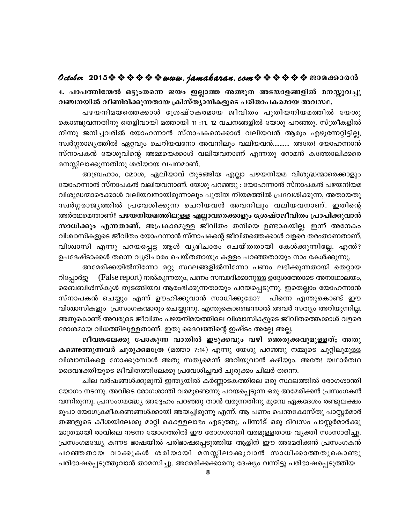## October 2015  $\diamond$   $\diamond$   $\diamond$   $\diamond$   $\diamond$   $\diamond$  www.jamakaran.com  $\diamond$   $\diamond$   $\diamond$   $\diamond$   $\diamond$   $\diamond$   $\diamond$  200 as 300

4. പാപത്തിന്മേൽ ഒട്ടുംതന്നെ ജയം ഇല്ലാത്ത അത്ഭുത അടയാളങ്ങളിൽ മനസ്സുവച്ചു വഞ്ചനയിൽ വീണിരിക്കുന്നതായ ക്രിസ്ത്യാനികളുടെ പരിതാപകരമായ അവസ്ഥ.

പഴയനിമയത്തെക്കാൾ ശ്രേഷ്ഠകരമായ ജീവിതം പുതിയനിയമത്തിൽ യേശു കൊണ്ടുവന്നതിനു തെളിവായി മത്തായി 11 :11, 12 വചനങ്ങളിൽ യേശു പറഞ്ഞു. സ്ത്രീകളിൽ നിന്നു ജനിച്ചവരിൽ യോഹന്നാൻ സ്നാപകനെക്കാൾ വലിയവൻ ആരും എഴുന്നേറ്റിട്ടില്ല; സ്വർഗ്ഗരാജ്യത്തിൽ ഏറ്റവും ചെറിയവനോ അവനിലും വലിയവൻ.......... അതേ! യോഹന്നാൻ സ്നാപകൻ യേശുവിന്റെ അമ്മയെക്കാൾ വലിയവനാണ് എന്നതു റോമൻ കത്തോലിക്കരെ മനസ്സിലാക്കുന്നതിനു ശരിയായ വചനമാണ്.

അബ്രഹാം, മോശ, ഏലിയാവ് തുടങ്ങിയ എല്ലാ പഴയനിയമ വിശുദ്ധന്മാരെക്കാളും യോഹന്നാൻ സ്നാപകൻ വലിയവനാണ്. യേശു പറഞ്ഞു : യോഹന്നാൻ സ്നാപകൻ പഴയനിയമ വിശുദ്ധന്മാരെക്കാൾ വലിയവനായിരുന്നാലും പുതിയ നിയമത്തിൽ പ്രവേശിക്കുന്ന, അതായതു സ്വർഗ്ഗരാജ്യത്തിൽ പ്രവേശിക്കുന്ന ചെറിയവൻ അവനിലും വലിയവനാണ്. ഇതിന്റെ അർത്ഥമെന്താണ്? പഴയനിയമത്തിലുള്ള എല്ലാവരെക്കാളും ശ്രേഷ്ഠജീവിതം പ്രാപിക്കുവാൻ സാധിക്കും എന്നതാണ്. അപ്രകാരമുള്ള ജീവിതം തനിയെ ഉണ്ടാകയില്ല. ഇന്ന് അനേകം വിശ്വാസികളുടെ ജീവിതം യോഹന്നാൻ സ്നാപകന്റെ ജീവിതത്തെക്കാൾ വളരെ തരംതാണതാണ്. വിശ്വാസി എന്നു പറയപ്പെട്ട ആൾ വൃഭിചാരം ചെയ്തതായി കേൾക്കുന്നില്ലേ. എന്ത്? ഉപദേഷ്ടാക്കൾ തന്നെ വ്യഭിചാരം ചെയ്തതായും കള്ളം പറഞ്ഞതായും നാം കേൾക്കുന്നു.

അമേരിക്കയിൽനിന്നോ മറ്റു സ്ഥലങ്ങളിൽനിന്നോ പണം ലഭിക്കുന്നതായി തെറ്റായ റിപ്പോർട്ടു (False report) നൽകുന്നതും, പണം സമ്പാദിക്കാനുള്ള ഉദ്ദേശത്തോടെ അനാഥാലയം, ബൈബിൾസ്കൂൾ തുടങ്ങിയവ ആരംഭിക്കുന്നതായും പറയപ്പെടുന്നു. ഇതെല്ലാം യോഹന്നാൻ സ്നാപകൻ ചെയ്യും എന്ന് ഊഹിക്കുവാൻ സാധിക്കുമോ? പിന്നെ എന്തുകൊണ്ട് ഈ വിശ്വാസികളും പ്രസംഗകന്മാരും ചെയ്യുന്നു. എന്തുകൊണ്ടെന്നാൽ അവർ സത്യം അറിയുന്നില്ല. അതുകൊണ്ട് അവരുടെ ജീവിതം പഴയനിമയത്തിലെ വിശ്വാസികളുടെ ജീവിതത്തെക്കാൾ വളരെ മോശമായ വിധത്തിലുള്ളതാണ്. ഇതു ദൈവത്തിന്റെ ഇഷ്ടം അല്ലേ അല്ല.

ജീവങ്കലേക്കു പോകുന്ന വാതിൽ ഇടുക്കവും വഴി ഞെരുക്കവുമുള്ളത്; അതു **കണ്ടെത്തുന്നവർ ചുരുക്കമത്രേ** (മത്താ 7:14) എന്നു യേശു പറഞ്ഞു നമ്മുടെ ചുറ്റിലുമുള്ള വിശ്വാസികളെ നോക്കുമ്പോൾ അതു സത്യമെന്ന് അറിയുവാൻ കഴിയും. അതേ! യഥാർതഥ ദൈവഭക്തിയുടെ ജീവിതത്തിലേക്കു പ്രവേശിച്ചവർ ചുരുക്കം ചിലർ തന്നെ.

ചില വർഷങ്ങൾക്കുമുമ്പ് ഇന്ത്യയിൽ കർണ്ണാടകത്തിലെ ഒരു സ്ഥലത്തിൽ രോഗശാന്തി യോഗം നടന്നു. അവിടെ രോഗശാന്തി വരമുണ്ടെന്നു പറയപ്പെടുന്ന ഒരു അമേരിക്കൻ പ്രസംഗകൻ വന്നിരുന്നു. പ്രസംഗമദ്ധ്യേ അദ്ദേഹം പറഞ്ഞു താൻ വരുന്നതിനു മുമ്പേ ഏകദേശം രണ്ടുലക്ഷം രൂപാ യോഗക്രമീകരണങ്ങൾക്കായി അയച്ചിരുന്നു എന്ന്. ആ പണം പെന്തകോസ്തു പാസ്റ്റർമാർ തങ്ങളുടെ കീശയിലേക്കു മാറ്റി കൊള്ളലാഭം എടുത്തു. പിന്നീട് ഒരു ദിവസം പാസ്റ്റർമാർക്കു മാത്രമായി രാവിലെ നടന്ന യോഗത്തിൽ ഈ രോഗശാന്തി വരമുള്ളതായ വ്യക്തി സംസാരിച്ചു. പ്രസംഗമദ്ധ്യേ കന്നട ഭാഷയിൽ പരിഭാഷപ്പെടുത്തിയ ആളിന് ഈ അമേരിക്കൻ പ്രസംഗകൻ പറഞ്ഞതായ വാക്കുകൾ ശരിയായി മനസ്സിലാക്കുവാൻ സാധിക്കാത്തതുകൊണ്ടു പരിഭാഷപ്പെടുത്തുവാൻ താമസിച്ചു. അമേരിക്കക്കാരനു ദേഷ്യം വന്നിട്ടു പരിഭാഷപ്പെടുത്തിയ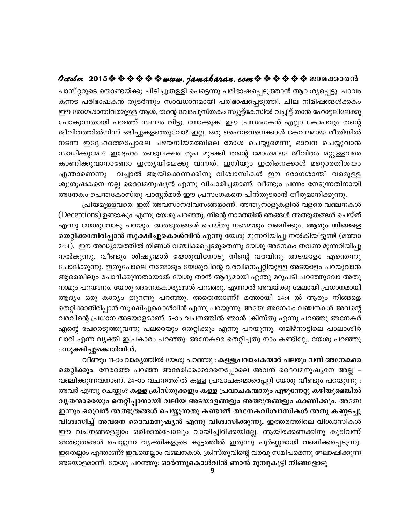## October 2015  $\diamond$   $\diamond$   $\diamond$   $\diamond$   $\diamond$   $\diamond$  www. jamakaran.com  $\diamond$   $\diamond$   $\diamond$   $\diamond$   $\diamond$   $\diamond$  exondood

പാസ്റ്ററുടെ തൊണ്ടയ്ക്കു പിടിച്ചുതള്ളി പെട്ടെന്നു പരിഭാഷപ്പെടുത്താൻ ആവശ്യപ്പെട്ടു. പാവം കന്നട പരിഭാഷകൻ തുടർന്നും സാവധാനമായി പരിഭാഷപ്പെടുത്തി. ചില നിമിഷങ്ങൾക്കകം ഈ രോഗശാന്തിവരമുള്ള ആൾ, തന്റെ വേദപുസ്തകം സ്യൂട്ട്കേസിൽ വച്ചിട്ട് താൻ ഹോട്ടലിലേക്കു പോകുന്നതായി പറഞ്ഞ് സ്ഥലം വിട്ടു. നോക്കുക! ഈ പ്രസംഗകൻ എല്ലാ കോപവും തന്റെ ജീവിതത്തിൽനിന്ന് ഒഴിച്ചുകളഞ്ഞുവോ? ഇല്ല. ഒരു ഹൈന്ദവനെക്കാൾ കേവലമായ രീതിയിൽ നടന്ന ഇദ്ദേഹത്തെപ്പോലെ പഴയനിയമത്തിലെ മോശ ചെയ്യുമെന്നു ഭാവന ചെയ്യുവാൻ സാധിക്കുമോ? ഇദ്ദേഹം രണ്ടുലക്ഷം രൂപ മുടക്കി തന്റെ മോശമായ ജീവിതം മറ്റുള്ളവരെ കാണിക്കുവാനാണോ ഇന്ത്യയിലേക്കു വന്നത്. ഇനിയും ഇതിനെക്കാൾ മറ്റൊരതിശയം ് വച്ചാൽ ആയിരക്കണക്കിനു വിശ്വാസികൾ ഈ രോഗശാന്തി വരമുള്ള എന്താണെന്നു ശുശ്രൂഷകനെ നല്ല ദൈവമനുഷ്യൻ എന്നു വിചാരിച്ചതാണ്. വീണ്ടും പണം നേടുന്നതിനായി അനേകം പെന്തകോസ്തു പാസ്റ്റർമാർ ഈ പ്രസംഗകനെ പിൻതുടരാൻ തീരുമാനിക്കുന്നു.

പ്രിയമുള്ളവരെ! ഇത് അവസാനദിവസങ്ങളാണ്. അന്ത്യനാളുകളിൽ വളരെ വഞ്ചനകൾ (Deceptions) ഉണ്ടാകും എന്നു യേശു പറഞ്ഞു. നിന്റെ നാമത്തിൽ ഞങ്ങൾ അത്ഭുതങ്ങൾ ചെയ്ത് എന്നു യേശുവോടു പറയും. അത്ഭുതങ്ങൾ ചെയ്തു നമ്മെയും വഞ്ചിക്കും. **ആരും നിങ്ങളെ** തെറ്റിക്കാതിരിപ്പാൻ സൂക്ഷിച്ചുകൊൾവിൻ എന്നു യേശു മുന്നറിയിപ്പു നൽകിയിട്ടുണ്ട് (മത്താ 24:4). ഈ അദ്ധ്യായത്തിൽ നിങ്ങൾ വഞ്ചിക്കപ്പെടരുതെന്നു യേശു അനേകം തവണ മുന്നറിയിപ്പു നൽകുന്നു. വീണ്ടും ശിഷ്യന്മാർ യേശുവിനോടു നിന്റെ വരവിനു അടയാളം എന്തെന്നു ചോദിക്കുന്നു. ഇതുപോലെ നമ്മോടും യേശുവിന്റെ വരവിനെപ്പറ്റിയുള്ള അടയാളം പറയുവാൻ ആരെങ്കിലും ചോദിക്കുന്നതായാൽ യേശു താൻ ആദ്യമായി എന്തു മറുപടി പറഞ്ഞുവോ അതു നാമും പറയണം. യേശു അനേകകാര്യങ്ങൾ പറഞ്ഞു. എന്നാൽ അവയ്ക്കു മേലായി പ്രധാനമായി ആദ്യം ഒരു കാര്യം തുറന്നു പറഞ്ഞു. അതെന്താണ്? മത്തായി 24:4 ൽ ആരും നിങ്ങളെ തെറ്റിക്കാതിരിപ്പാൻ സൂക്ഷിച്ചുകൊൾവിൻ എന്നു പറയുന്നു. അതേ! അനേകം വഞ്ചനകൾ അവന്റെ വരവിന്റെ പ്രധാന അടയാളമാണ്. 5–ാം വചനത്തിൽ ഞാൻ ക്രിസ്തു എന്നു പറഞ്ഞു അനേകർ എന്റെ പേരെടുത്തുവന്നു പലരെയും തെറ്റിക്കും എന്നു പറയുന്നു. തമിഴ്നാട്ടിലെ പാലാശീർ ലാറി എന്ന വ്യക്തി ഇപ്രകാരം പറഞ്ഞു: അനേകരെ തെറ്റിച്ചതു നാം കണ്ടില്ലേ. യേശു പറഞ്ഞു : സൂക്ഷിച്ചുകൊൾവിൻ.

വീണ്ടും 11-ാം വാകൃത്തിൽ യേശു പറഞ്ഞു : **കള്ളപ്രവാചകന്മാർ പലരും വന്ന് അനേകരെ** തെറ്റിക്കും. നേരത്തെ പറഞ്ഞ അമേരിക്കക്കാരനെപ്പോലെ അവൻ ദൈവമനുഷ്യനേ അല്ല -വഞ്ചിക്കുന്നവനാണ്. 24–ാം വചനത്തിൽ കള്ള പ്രവാചകന്മാരെപ്പറ്റി യേശു വീണ്ടും പറയുന്നു : അവർ എന്തു ചെയ്യും? കള്ള ക്രിസ്തുക്കളും കള്ള പ്രവാചകന്മാരും എഴുന്നേറ്റു കഴിയുമെങ്കിൽ വൃതന്മാരെയും തെറ്റിപ്പാനായി വലിയ അടയാളങ്ങളും അത്ഭുതങ്ങളും കാണിക്കും. അതേ! ഇന്നും ഒരുവൻ അത്ഭുതങ്ങൾ ചെയ്യുന്നതു കണ്ടാൽ അനേകവിശ്വാസികൾ അതു കണ്ണടച്ചു വിശ്വസിച്ച് അവനെ ദൈവമനുഷ്യൻ എന്നു വിശ്വസിക്കുന്നു. ഇത്തരത്തിലെ വിശ്വാസികൾ ഈ വചനങ്ങളെല്ലാം ഒരിക്കൽപോലും വായിച്ചിരിക്കയില്ലേ. ആയിരക്കണക്കിനു കൂടിവന്ന് അത്ഭുതങ്ങൾ ചെയ്യുന്ന വ്യക്തികളുടെ കൂട്ടത്തിൽ ഇരുന്നു പൂർണ്ണമായി വഞ്ചിക്കപ്പെടുന്നു. ഇതെല്ലാം എന്താണ്? ഇവയെല്ലാം വഞ്ചനകൾ, ക്രിസ്തുവിന്റെ വരവു സമീപമെന്നു ഘോഷിക്കുന്ന

അടയാളമാണ്. യേശു പറഞ്ഞു: ഓർത്തുകൊൾവിൻ ഞാൻ മുമ്പുകൂട്ടി നിങ്ങളോടു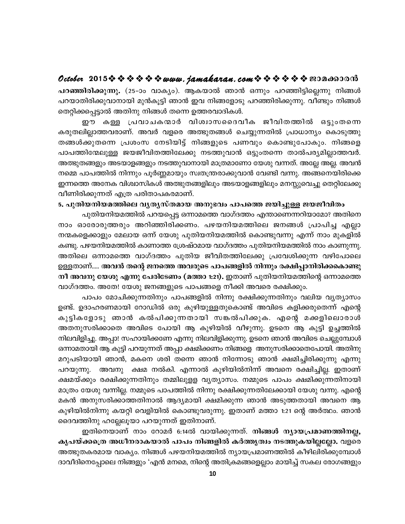## October 2015 \* \* \* \* \* \* www.jamakaran.com \* \* \* \* \* \* \* 2010600010

പറഞ്ഞിരിക്കുന്നു. (25-ാം വാക്യം). ആകയാൽ ഞാൻ ഒന്നും പറഞ്ഞിട്ടില്ലെന്നു നിങ്ങൾ പറയാതിരിക്കുവാനായി മുൻകൂട്ടി ഞാൻ ഇവ നിങ്ങളോടു പറഞ്ഞിരിക്കുന്നു. വീണ്ടും നിങ്ങൾ തെറ്റിക്കപ്പെട്ടാൽ അതിനു നിങ്ങൾ തന്നെ ഉത്തരവാദികൾ.

ഈ കള്ള പ്രവാചകന്മാർ വിശ്വാസദൈവീക ജീവിതത്തിൽ ഒട്ടുംതന്നെ കരുതലില്ലാത്തവരാണ്. അവർ വളരെ അത്ഭുതങ്ങൾ ചെയ്യുന്നതിൽ പ്രാധാന്യം കൊടുത്തു തങ്ങൾക്കുതന്നെ പ്രശംസ നേടിയിട്ട് നിങ്ങളുടെ പണവും കൊണ്ടുപോകും. നിങ്ങളെ പാപത്തിന്മേലുള്ള ജയജീവിതത്തിലേക്കു നടത്തുവാൻ ഒട്ടുംതന്നെ താൽപര്യമില്ലാത്തവർ. അത്ഭുതങ്ങളും അടയാളങ്ങളും നടത്തുവാനായി മാത്രമാണോ യേശു വന്നത്. അല്ലേ അല്ല. അവൻ നമ്മെ പാപത്തിൽ നിന്നും പൂർണ്ണമായും സ്വതന്ത്രരാക്കുവാൻ വേണ്ടി വന്നു. അങ്ങനെയിരിക്കെ ഇന്നത്തെ അനേക വിശ്വാസികൾ അത്ഭുതങ്ങളിലും അടയാളങ്ങളിലും മനസ്സുവെച്ചു തെറ്റിലേക്കു വീണിരിക്കുന്നത് എത്ര പരിതാപകരമാണ്.

#### 5. പുതിയനിയമത്തിലെ വൃതൃസ്തമായ അനുഭവം പാപത്തെ ജയിച്ചുള്ള ജയജീവിതം

പുതിയനിയമത്തിൽ പറയപ്പെട്ട ഒന്നാമത്തെ വാഗ്ദത്തം എന്താണെന്നറിയാമോ? അതിനെ നാം ഓരോരുത്തരും അറിഞ്ഞിരിക്കണം. പഴയനിയമത്തിലെ ജനങ്ങൾ പ്രാപിച്ച എല്ലാ നന്മകളെക്കാളും മേലായ ഒന്ന് യേശു പുതിയനിയമത്തിൽ കൊണ്ടുവന്നു എന്ന് നാം മുകളിൽ കണ്ടു. പഴയനിയമത്തിൽ കാണാത്ത ശ്രേഷ്ഠമായ വാഗ്ദത്തം പുതിയനിയമത്തിൽ നാം കാണുന്നു. അതിലെ ഒന്നാമത്തെ വാഗ്ദത്തം പുതിയ ജീവിതത്തിലേക്കു പ്രവേശിക്കുന്ന വഴിപോലെ ഉള്ളതാണ്..... അവൻ തന്റെ ജനത്തെ അവരുടെ പാപങ്ങളിൽ നിന്നും രക്ഷിപ്പാനിരിക്കകൊണ്ടു നീ അവനു യേശു എന്നു പേരിടേണം (മത്താ 1:21). ഇതാണ് പുതിയനിയമത്തിന്റെ ഒന്നാമത്തെ വാഗ്ദത്തം. അതേ! യേശു ജനങ്ങളുടെ പാപങ്ങളെ നീക്കി അവരെ രക്ഷിക്കും.

പാപം മോചിക്കുന്നതിനും പാപങ്ങളിൽ നിന്നു രക്ഷിക്കുന്നതിനും വലിയ വൃത്യാസം ഉണ്ട്. ഉദാഹരണമായി റോഡിൽ ഒരു കുഴിയുള്ളതുകൊണ്ട് അവിടെ കളിക്കരുതെന്ന് എന്റെ കുട്ടികളോടു ഞാൻ കൽപിക്കുന്നതായി സങ്കൽപിക്കുക. എന്റെ മക്കളിലൊരാൾ അതനുസരിക്കാതെ അവിടെ പോയി ആ കുഴിയിൽ വീഴുന്നു. ഉടനെ ആ കുട്ടി ഉച്ചത്തിൽ നിലവിളിച്ചു. അപ്പാ! സഹായിക്കണേ എന്നു നിലവിളിക്കുന്നു. ഉടനെ ഞാൻ അവിടെ ചെല്ലുമ്പോൾ ഒന്നാമതായി ആ കുട്ടി പറയുന്നത് അപ്പാ ക്ഷമിക്കണം നിങ്ങളെ അനുസരിക്കാതെപോയി. അതിനു മറുപടിയായി ഞാൻ, മകനെ ശരി തന്നെ ഞാൻ നിന്നോടു ഞാൻ ക്ഷമിച്ചിരിക്കുന്നു എന്നു അവനു ക്ഷമ നൽകി. എന്നാൽ കുഴിയിൽനിന്ന് അവനെ രക്ഷിച്ചില്ല. ഇതാണ് പറയുന്നു. ക്ഷമയ്ക്കും രക്ഷിക്കുന്നതിനും തമ്മിലുളള വൃത്യാസം. നമ്മുടെ പാപം ക്ഷമിക്കുന്നതിനായി മാത്രം യേശു വന്നില്ല. നമ്മുടെ പാപത്തിൽ നിന്നു രക്ഷിക്കുന്നതിലേക്കായി യേശു വന്നു. എന്റെ മകൻ അനുസരിക്കാത്തതിനാൽ ആദ്യമായി ക്ഷമിക്കുന്ന ഞാൻ അടുത്തതായി അവനെ ആ കുഴിയിൽനിന്നു കയറ്റി വെളിയിൽ കൊണ്ടുവരുന്നു. ഇതാണ് മത്താ 1:21 ന്റെ അർത്ഥം. ഞാൻ ദൈവത്തിനു ഹല്ലേലൂയാ പറയുന്നത് ഇതിനാണ്.

ഇതിനെയാണ് നാം റോമർ 6:14ൽ വായിക്കുന്നത്. നിങ്ങൾ ന്യായപ്രമാണത്തിനല്ല, കൃപയ്ക്കര്രെ അധീനരാകയാൽ പാപം നിങ്ങളിൽ കർത്തൃത്വം നടത്തുകയില്ലല്ലോ. വളരെ അത്ഭുതകരമായ വാക്യം. നിങ്ങൾ പഴയനിയമത്തിൽ ന്യായപ്രമാണത്തിൽ കീഴിലിരിക്കുമ്പോൾ ദാവീദിനെപ്പോലെ നിങ്ങളും 'എൻ മനമെ, നിന്റെ അതിക്രമങ്ങളെല്ലാം മായിച്ച് സകല രോഗങ്ങളും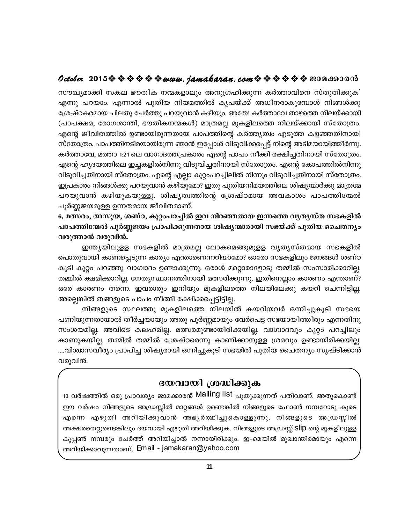## October 2015  $\diamond$   $\diamond$   $\diamond$   $\diamond$   $\diamond$   $\diamond$  www.jamakaran.com  $\diamond$   $\diamond$   $\diamond$   $\diamond$   $\diamond$   $\diamond$  exondood

സൗഖ്യമാക്കി സകല ഭൗതീക നന്മകളാലും അനുഗ്രഹിക്കുന്ന കർത്താവിനെ സ്തുതിക്കുക' എന്നു പറയാം. എന്നാൽ പുതിയ നിയമത്തിൽ കൃപയ്ക്ക് അധീനരാകുമ്പോൾ നിങ്ങൾക്കു ശ്രേഷ്ഠകരമായ ചിലതു ചേർത്തു പറയുവാൻ കഴിയും. അതേ! കർത്താവേ താഴത്തെ നിലയ്ക്കായി (പാപക്ഷമ, രോഗശാന്തി, ഭൗതികനന്മകൾ) മാത്രമല്ല മുകളിലത്തെ നിലയ്ക്കായി സ്തോത്രം. എന്റെ ജീവിതത്തിൽ ഉണ്ടായിരുന്നതായ പാപത്തിന്റെ കർത്തൃത്വം എടുത്ത കളഞ്ഞതിനായി സ്തോത്രം. പാപത്തിനടിമയായിരുന്ന ഞാൻ ഇപ്പോൾ വിടുവിക്കപ്പെട്ട് നിന്റെ അടിമയായിത്തീർന്നു. കർത്താവേ, മത്താ 1:21 ലെ വാഗാദത്തപ്രകാരം എന്റെ പാപം നീക്കി രക്ഷിച്ചതിനായി സ്തോത്രം. എന്റെ ഹൃദയത്തിലെ ഇച്ചകളിൽനിന്നു വിടുവിച്ചതിനായി സ്തോത്രം. എന്റെ കോപത്തിൽനിന്നു വിടുവിച്ചതിനായി സ്തോത്രം. എന്റെ എല്ലാ കുറ്റംപറച്ചിലിൽ നിന്നും വിടുവിച്ചതിനായി സ്തോത്രം. ഇപ്രകാരം നിങ്ങൾക്കു പറയുവാൻ കഴിയുമോ? ഇതു പുതിയനിമയത്തിലെ ശിഷ്യന്മാർക്കു മാത്രമേ പറയുവാൻ കഴിയുകയുള്ളൂ. ശിഷ്യത്വത്തിന്റെ ശ്രേഷ്ഠമായ അവകാശം പാപത്തിന്മേൽ പൂർണ്ണജയമുള്ള ഉന്നതമായ ജീവിതമാണ്.

6. മത്സരം, അസുയ, ശണ്ഠ, കുറ്റംപറച്ചിൽ ഇവ നിറഞ്ഞതായ ഇന്നത്തെ വൃതൃസ്ത സഭകളിൽ പാപത്തിന്മേൽ പൂർണ്ണജയം പ്രാപിക്കുന്നതായ ശിഷ്യന്മാരായി സഭയ്ക്ക് പുതിയ ചൈതന്യം വരുത്താൻ വരുവിൻ.

ഇന്ത്യയിലുളള സഭകളിൽ മാത്രമല്ല ലോകമെങ്ങുമുളള വൃത്യസ്തമായ സഭകളിൽ പൊതുവായി കാണപ്പെടുന്ന കാര്യം എന്താണെന്നറിയാമോ? ഓരോ സഭകളിലും ജനങ്ങൾ ശണ്ഠ കൂടി കുറ്റം പറഞ്ഞു വാഗ്വാദം ഉണ്ടാക്കുന്നു. ഒരാൾ മറ്റൊരാളോടു തമ്മിൽ സംസാരിക്കാറില്ല. തമ്മിൽ ക്ഷമിക്കാറില്ല. നേതൃസ്ഥാനത്തിനായി മത്സരിക്കുന്നു. ഇതിനെല്ലാം കാരണം എന്താണ്? ഒരേ കാരണം തന്നെ. ഇവരാരും ഇനിയും മുകളിലത്തെ നിലയിലേക്കു കയറി ചെന്നിട്ടില്ല. അല്ലെങ്കിൽ തങ്ങളുടെ പാപം നീങ്ങി രക്ഷിക്കപ്പെട്ടിട്ടില്ല.

നിങ്ങളുടെ സ്ഥലത്തു മുകളിലത്തെ നിലയിൽ കയറിയവർ ഒന്നിച്ചുകൂടി സഭയെ പണിയുന്നതായാൽ തീർച്ചയായും അതു പൂർണ്ണമായും വേർപെട്ട സഭയായീത്തീരും എന്നതിനു സംശയമില്ല. അവിടെ കലഹമില്ല. മത്സരമുണ്ടായിരിക്കയില്ല. വാഗ്വാദവും കുറ്റം പറച്ചിലും കാണുകയില്ല. തമ്മിൽ തമ്മിൽ ശ്രേഷ്ഠരെന്നു കാണിക്കാനുള്ള ശ്രമവും ഉണ്ടായിരിക്കയില്ല. ....വിശ്വാസവീര്യം പ്രാപിച്ച ശിഷ്യരായി ഒന്നിച്ചുകൂടി സഭയിൽ പുതിയ ചൈതന്യം സൃഷ്ടിക്കാൻ വരുവിൻ.

## ദയവായി ശ്രദ്ധിക്കുക

<u>10 വർഷത്തിൽ ഒരു പ്രാവശ്യം ജാമക്കാരൻ Mailing list പുതുക്കുന്നത് പതിവാണ്. അതുകൊണ്ട്</u> ഈ വർഷം നിങ്ങളുടെ അഡ്രസ്സിൽ മാറ്റങ്ങൾ ഉണ്ടെങ്കിൽ നിങ്ങളുടെ ഫോൺ നമ്പറോടു കൂടെ എന്നെ എഴുതി അറിയിക്കുവാൻ അഭൃർത്ഥിച്ചുകൊള്ളുന്നു. നിങ്ങളുടെ അഡ്രസ്സിൽ അക്ഷരതെറ്റുണ്ടെങ്കിലും ദയവായി എഴുതി അറിയിക്കുക. നിങ്ങളുടെ അഡ്രസ്സ് Slip ന്റെ മുകളിലുള്ള കൂപ്പൺ നമ്പരും ചേർത്ത് അറിയിച്ചാൽ നന്നായിരിക്കും. ഇ-മെയിൽ മുഖാന്തിരമായും എന്നെ അറിയിക്കാവുന്നതാണ്. Email - jamakaran@yahoo.com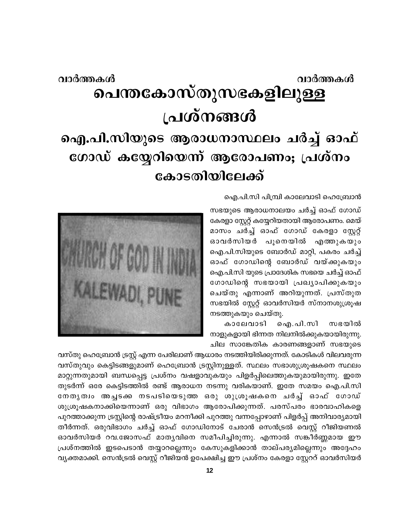## വാർത്തകൾ വാർത്തകൾ **പെന്തകോസ്തുസഭകളിലുള്ള** പ്രശ്നങ്ങൾ ഐ.പി.സിയുടെ ആരാധനാസ്ഥലം ചർച്ച് ഓഫ് ഗോഡ് കയ്യേറിയെന്ന് ആരോപണം; പ്രശ്നം കോടതിയിലേക്ക്

ഐ.പി.സി പിമ്പ്രി കാലേവാടി ഹെബ്രോൻ

സഭയുടെ ആരാധനാലയം ചർച്ച് ഓഫ് ഗോഡ് കേരളാ സ്റ്റേറ്റ് കയ്യേറിയതായി ആരോപണം. മെയ് മാസം ചർച്ച് ഓഫ് ഗോഡ് കേരളാ സ്റ്റേറ്റ് ഓവർസിയർ പൂനെയിൽ എത്തുകയും ഐ.പി.സിയുടെ ബോർഡ് മാറ്റി, പകരം ചർച്ച് ഓഫ് ഗോഡിന്റെ ബോർഡ് വയ്ക്കുകയും ഐ.പി.സി യുടെ പ്രാദേശിക സഭയെ ചർച്ച് ഓഫ് ഗോഡിന്റെ സഭയായി പ്രഖ്യാപിക്കുകയും ചെയ്തു എന്നാണ് അറിയുന്നത്. പ്രസ്തുത സഭയിൽ സ്റ്റേറ്റ് ഓവർസിയർ സ്നാനശുശ്രൂഷ നടത്തുകയും ചെയ്തു.

കാലേവാടി ഐ.പി.സി സഭയിൽ നാളുകളായി ഭിന്നത നിലനിൽക്കുകയായിരുന്നു. ചില സാങ്കേതിക കാരണങ്ങളാണ് സഭയുടെ



വസ്തു ഹെമ്പ്രോൻ ട്രസ്റ്റ് എന്ന പേരിലാണ് ആധാരം നടത്തിയിരിക്കുന്നത്. കോടികൾ വിലവരുന്ന വസ്തുവും കെട്ടിടങ്ങളുമാണ് ഹെബ്രോൻ ട്രസ്റ്റിനുള്ളത്. സ്ഥലം സഭാശുശ്രൂഷകനെ സ്ഥലം മാറ്റുന്നതുമായി ബന്ധപ്പെട്ട പ്രശ്നം വഷളാവുകയും പിളർപ്പിലെത്തുകയുമായിരുന്നു. ഇതേ തുടർന്ന് ഒരേ കെട്ടിടത്തിൽ രണ്ട് ആരാധന നടന്നു വരികയാണ്. ഇതേ സമയം ഐ.പി.സി നേതൃത്വം അച്ചടക്ക നടപടിയെടുത്ത ഒരു ശുശ്രൂഷകനെ ചർച്ച് ഓഫ് ഗോഡ് ശുശ്രൂഷകനാക്കിയെന്നാണ് ഒരു വിഭാഗം ആരോപിക്കുന്നത്. പരസ്പരം ഭാരവാഹികളെ പുറത്താക്കുന്ന ട്രസ്റ്റിന്റെ രാഷ്ട്രീയം മറനീക്കി പുറത്തു വന്നപ്പോഴാണ് പിളർപ്പ് അനിവാര്യമായി തീർന്നത്. ഒരുവിഭാഗം ചർച്ച് ഓഫ് ഗോഡിനോട് ചേരാൻ സെൻട്രൽ വെസ്റ്റ് റീജിയണൽ ഓവർസിയർ റവ.ജോസഫ് മാതൃവിനെ സമീപിച്ചിരുന്നു. എന്നാൽ സങ്കീർണ്ണമായ ഈ പ്രശ്നത്തിൽ ഇടപെടാൻ തയ്യാറല്ലെന്നും കേസുകളിക്കാൻ താല്പര്യമില്ലെന്നും അദ്ദേഹം വ്യക്തമാക്കി. സെൻട്രൽ വെസ്റ്റ് റീജിയൻ ഉപേക്ഷിച്ച ഈ പ്രശ്നം കേരളാ സ്റ്റേററ് ഓവർസിയർ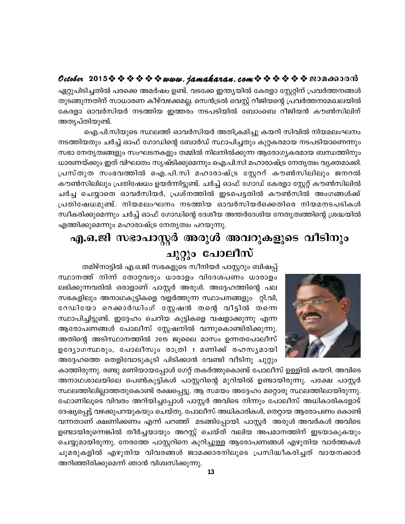## 

ഏറ്റുപിടിച്ചതിൽ പരക്കെ അമർഷം ഉണ്ട്. വടക്കേ ഇന്ത്യയിൽ കേരളാ സ്റ്റേറ്റിന് പ്രവർത്തനങ്ങൾ തുടങ്ങുന്നതിന് സാധാരണ കീഴ്വഴക്കമല്ല. സെൻട്രൽ വെസ്റ്റ് റീജിയന്റെ പ്രവർത്തനമേഖലയിൽ കേരളാ ഓവർസിയർ നടത്തിയ ഇത്തരം നടപടിയിൽ ബോംബെ റീജിയൻ കൗൺസിലിന് അതൃപ്തിയുണ്ട്.

ഐ.പി.സിയുടെ സ്ഥലത്ത് ഓവർസിയർ അതിക്രമിച്ചു കയറി സിവിൽ നിയമലംഘനം നടത്തിയതും ചർച്ച് ഓഫ് ഗോഡിന്റെ ബോർഡ് സ്ഥാപിച്ചതും കുറ്റകരമായ നടപടിയാണെന്നും സഭാ നേതൃത്വങ്ങളും സംഘടനകളും തമ്മിൽ നിലനിൽക്കുന്ന ആരോഗ്യകരമായ ബന്ധത്തിനും ധാരണയ്ക്കും ഇത് വിഘാതം സൃഷ്ടിക്കുമെന്നും ഐ.പി.സി മഹാരാഷ്ട്ര നേതൃത്വം വ്യക്തമാക്കി. പ്രസ്തുത സംഭവത്തിൽ ഐ.പി.സി മഹാരാഷ്ട്ര സ്റ്റേററ് കൗൺസിലിലും ജനറൽ കൗൺസിലിലും പ്രതിഷേധം ഉയർന്നിട്ടുണ്ട്. ചർച്ച് ഓഫ് ഗോഡ് കേരളാ സ്റ്റേറ്റ് കൗൺസിലിൽ ചർച്ച ചെയ്യാതെ ഓവർസിയർ, പ്രശ്നത്തിൽ ഇടപെട്ടതിൽ കൗൺസിൽ അംഗങ്ങൾക്ക് പ്രതിഷേധമുണ്ട്. നിയമലംഘനം നടത്തിയ ഓവർസിയർക്കെതിരെ നിയമനടപടികൾ സ്ഥീകരിക്കുമെന്നും ചർച്ച് ഓഫ് ഗോഡിന്റെ ദേശീയ അന്തർദേശിയ നേതൃത്വത്തിന്റെ ശ്രദ്ധയിൽ എത്തിക്കുമെന്നും മഹാരാഷ്ട്ര നേതൃത്വം പറയുന്നു.

## എ.ഒ.ജി സഭാപാസ്റ്റർ അരുൾ അവറുകളുടെ വീടിനും ചുറ്റും പോലീസ്



തമിഴ്നാട്ടിൽ എ.ഒ.ജി സഭകളുടെ സീനിയർ പാസ്റ്ററും ബിഷപ്പ് സ്ഥാനത്ത് നിന്ന് തോറ്റവരും ധാരാളം വിദേശപണം ധാരാളം ലഭിക്കുന്നവരിൽ ഒരാളാണ് പാസ്റ്റർ അരുൾ. അദ്ദേഹത്തിന്റെ പല സഭകളിലും അനാഥകുട്ടികളെ വളർത്തുന്ന സ്ഥാപനങ്ങളും റ്റി.വി, റേഡിയോ റെക്കാർഡിംഗ് സ്റ്റേഷൻ തന്റെ വീട്ടിൽ തന്നെ സ്ഥാപിച്ചിട്ടുണ്ട്. ഇദ്ദേഹം ചെറിയ കുട്ടികളെ വഷളാക്കുന്നു എന്ന ആരോപണങ്ങൾ പോലീസ് സ്റ്റേഷനിൽ വന്നുകൊണ്ടിരിക്കുന്നു. അതിന്റെ അടിസ്ഥാനത്തിൽ 2015 ജൂലൈ മാസം ഉന്നതപോലീസ് ഉദ്യോഗസ്ഥരും, പോലീസും രാത്രി 1 മണിക്ക് രഹസ്യമായി അദ്ദേഹത്തെ തെളിവോടുകൂടി പിടിക്കാൻ വേണ്ടി വീടിനു ചുറ്റും

കാത്തിരുന്നു. രണ്ടു മണിയായപ്പോൾ ഗേറ്റ് തകർത്തുകൊണ്ട് പോലീസ് ഉള്ളിൽ കയറി. അവിടെ അനാഥശാലയിലെ പെൺകുട്ടികൾ പാസ്റ്ററിന്റെ മുറിയിൽ ഉണ്ടായിരുന്നു. പക്ഷേ പാസ്റ്റർ സ്ഥലത്തിലില്ലാത്തതുകൊണ്ട് രക്ഷപ്പെട്ടു. ആ സമയം അദ്ദേഹം മറ്റൊരു സ്ഥലത്തിലായിരുന്നു. ഫോണിലൂടെ വിവരം അറിയിച്ചപ്പോൾ പാസ്റ്റർ അവിടെ നിന്നും പോലീസ് അധികാരികളോട് ദേഷ്യപ്പെട്ട് വഴക്കുപറയുകയും ചെയ്തു. പോലീസ് അധികാരികൾ, തെറ്റായ ആരോപണം കൊണ്ട് വന്നതാണ് ക്ഷണിക്കണം എന്ന് പറഞ്ഞ് മടങ്ങിപ്പോയി. പാസ്റ്റർ അരുൾ അവർകൾ അവിടെ ഉണ്ടായിരുന്നെങ്കിൽ തീർച്ചയായും അറസ്റ്റ് ചെയ്ത് വലിയ അപമാനത്തിന് ഇടയാകുകയും ചെയ്യുമായിരുന്നു. നേരത്തേ പാസ്റ്ററിനെ കുറിച്ചുള്ള ആരോപണങ്ങൾ എഴുതിയ വാർത്തകൾ ചുമരുകളിൽ എഴുതിയ വിവരങ്ങൾ ജാമക്കാരനിലൂടെ പ്രസിദ്ധീകരിച്ചത് വായനക്കാർ അറിഞ്ഞിരിക്കുമെന്ന് ഞാൻ വിശ്വസിക്കുന്നു.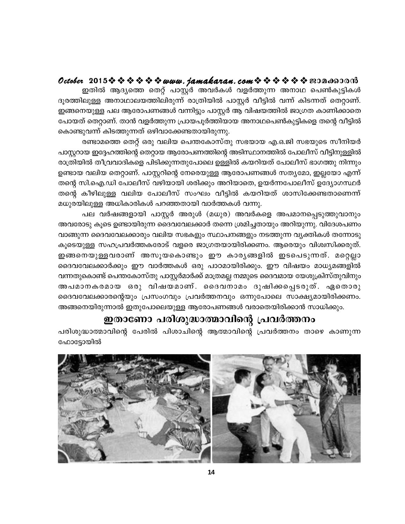## October 2015※※※※※※www.*jamakaran.com*※※※※※※200c60000

ഇതിൽ ആദ്യത്തെ തെറ്റ് പാസ്റ്റർ അവർകൾ വളർത്തുന്ന അനാഥ പെൺകുട്ടികൾ ദൂരത്തിലുള്ള അനാഥാലയത്തിലിരുന്ന് രാത്രിയിൽ പാസ്റ്റർ വീട്ടിൽ വന്ന് കിടന്നത് തെറ്റാണ്. ഇങ്ങനെയുള്ള പല ആരോപണങ്ങൾ വന്നിട്ടും പാസ്റ്റർ ആ വിഷയത്തിൽ ജാഗ്രത കാണിക്കാതെ പോയത് തെറ്റാണ്. താൻ വളർത്തുന്ന പ്രായപൂർത്തിയായ അനാഥപെൺകുട്ടികളെ തന്റെ വീട്ടിൽ കൊണ്ടുവന്ന് കിടത്തുന്നത് ഒഴിവാക്കേണ്ടതായിരുന്നു.

രണ്ടാമത്തെ തെറ്റ് ഒരു വലിയ പെന്തകോസ്തു സഭയായ എ.ഒ.ജി സഭയുടെ സീനിയർ പാസ്റ്ററായ ഇദ്ദേഹത്തിന്റെ തെറ്റായ ആരോപണത്തിന്റെ അടിസ്ഥാനത്തിൽ പോലീസ് വീട്ടിനുള്ളിൽ രാത്രിയിൽ തീവ്രവാദികളെ പിടിക്കുന്നതുപോലെ ഉള്ളിൽ കയറിയത് പോലീസ് ഭാഗത്തു നിന്നും ഉണ്ടായ വലിയ തെറ്റാണ്. പാസ്റ്ററിന്റെ നേരെയുള്ള ആരോപണങ്ങൾ സതൃമോ, ഇല്ലയോ എന്ന് തന്റെ സി.ഐ.ഡി പോലീസ് വഴിയായി ശരിക്കും അറിയാതെ, ഉയർന്നപോലീസ് ഉദ്യോഗസ്ഥർ തന്റെ കീഴിലുള്ള വലിയ പോലീസ് സംഘം വീട്ടിൽ കയറിയത് ശാസിക്കേണ്ടതാണെന്ന് മധുരയിലുള്ള അധികാരികൾ പറഞ്ഞതായി വാർത്തകൾ വന്നു.

പല വർഷങ്ങളായി പാസ്റ്റർ അരുൾ (മധുര) അവർകളെ അപമാനപ്പെടുത്തുവാനും അവരോടു കൂടെ ഉണ്ടായിരുന്ന ദൈവവേലക്കാർ തന്നെ ശ്രമിച്ചതായും അറിയുന്നു. വിദേശപണം വാങ്ങുന്ന ദൈവവേലക്കാരും വലിയ സഭകളും സ്ഥാപനങ്ങളും നടത്തുന്ന വൃക്തികൾ തന്നോടു കൂടെയുള്ള സഹപ്രവർത്തകരോട് വളരെ ജാഗ്രതയായിരിക്കണം. ആരെയും വിശ്വസിക്കരുത്. ഇങ്ങനെയുള്ളവരാണ് അസൂയകൊണ്ടും ഈ കാരൃങ്ങളിൽ ഇടപെടുന്നത്. മറ്റെല്ലാ ദൈവവേലക്കാർക്കും ഈ വാർത്തകൾ ഒരു പാഠമായിരിക്കും. ഈ വിഷയം മാധ്യമങ്ങളിൽ വന്നതുകൊണ്ട് പെന്തകോസ്തു പാസ്റ്റർമാർക്ക് മാത്രമല്ല നമ്മുടെ ദൈവമായ യേശുക്രിസ്തുവിനും അപമാനകരമായ ഒരു വിഷയമാണ്. ദൈവനാമം ദുഷിക്കപ്പെടരുത്. ഏതൊരു ദൈവവേലക്കാരന്റെയും പ്രസംഗവും പ്രവർത്തനവും ഒന്നുപോലെ സാക്ഷ്യമായിരിക്കണം. അങ്ങനെയിരുന്നാൽ ഇതുപോലെയുള്ള ആരോപണങ്ങൾ വരാതെയിരിക്കാൻ സാധിക്കും.

## ഇതാണോ പരിശുദ്ധാത്മാവിന്റെ പ്രവർത്തനം

പരിശുദ്ധാത്മാവിന്റെ പേരിൽ പിശാചിന്റെ ആത്മാവിന്റെ പ്രവർത്തനം താഴെ കാണുന്ന ഫോട്ടോയിൽ

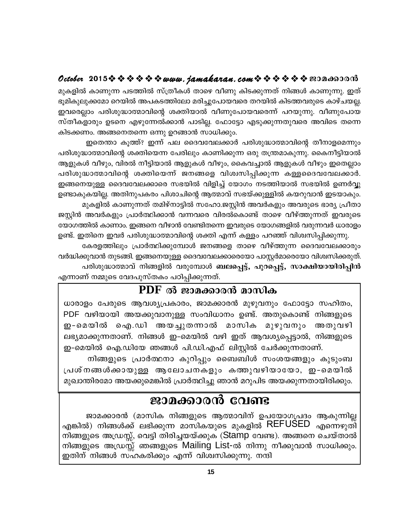## 

മുകളിൽ കാണുന്ന പടത്തിൽ സ്ത്രീകൾ താഴെ വീണു കിടക്കുന്നത് നിങ്ങൾ കാണുന്നു. ഇത് ഭൂമികുലുക്കമോ റെയിൽ അപകടത്തിലോ മരിച്ചുപോയവരെ തറയിൽ കിടത്തവരുടെ കാഴ്ചയല്ല. ഇവരെല്ലാം പരിശുദ്ധാത്മാവിന്റെ ശക്തിയാൽ വീണുപോയവരെന്ന് പറയുന്നു. വീണുപോയ സ്തീകളാരും ഉടനെ എഴുന്നേൽക്കാൻ പാടില്ല. ഫോട്ടോ എടുക്കുന്നതുവരെ അവിടെ തന്നെ കിടക്കണം. അങ്ങനെതന്നെ ഒന്നു ഉറങ്ങാൻ സാധിക്കും.

ഇതെന്താ കുത്ത്? ഇന്ന് പല ദൈവവേലക്കാർ പരിശുദ്ധാത്മാവിന്റെ തീനാളമെന്നും പരിശുദ്ധാത്മാവിന്റെ ശക്തിയെന്ന പേരിലും കാണിക്കുന്ന ഒരു തന്ത്രമാകുന്നു. കൈനീട്ടിയാൽ ആളുകൾ വീഴും, വിരൽ നീട്ടിയാൽ ആളുകൾ വീഴും, കൈവച്ചാൽ ആളുകൾ വീഴും ഇതെല്ലാം പരിശുദ്ധാത്മാവിന്റെ ശക്തിയെന്ന് ജനങ്ങളെ വിശ്വസിപ്പിക്കുന്ന കള്ളദൈവവേലക്കാർ. ഇങ്ങനെയുള്ള ദൈവവേലക്കാരെ സഭയിൽ വിളിച്ച് യോഗം നടത്തിയാൽ സഭയിൽ ഉണർവ്വു ഉണ്ടാകുകയില്ല. അതിനുപകരം പിശാചിന്റെ ആത്മാവ് സഭയ്ക്കുള്ളിൽ കയറുവാൻ ഇടയാകും. മുകളിൽ കാണുന്നത് തമിഴ്നാട്ടിൽ സഹോ.ജസ്റ്റിൻ അവർകളും അവരുടെ ഭാര്യ പ്രീതാ ജസ്റ്റിൻ അവർകളും പ്രാർത്ഥിക്കാൻ വന്നവരെ വിരൽകൊണ്ട് താഴെ വീഴ്ത്തുന്നത് ഇവരുടെ

യോഗത്തിൽ കാണാം. ഇങ്ങനെ വീഴാൻ വേണ്ടിതന്നെ ഇവരുടെ യോഗങ്ങളിൽ വരുന്നവർ ധാരാളം ഉണ്ട്. ഇതിനെ ഇവർ പരിശുദ്ധാത്മാവിന്റെ ശക്തി എന്ന് കള്ളം പറഞ്ഞ് വിശ്വസിപ്പിക്കുന്നു. കേരളത്തിലും പ്രാർത്ഥിക്കുമ്പോൾ ജനങ്ങളെ താഴെ വീഴ്ത്തുന്ന ദൈവവേലക്കാരും

വർദ്ധിക്കുവാൻ തുടങ്ങി. ഇങ്ങനെയുള്ള ദൈവവേലക്കാരെയോ പാസ്റ്റർമാരെയോ വിശ്വസിക്കരുത്. പരിശുദ്ധാത്മാവ് നിങ്ങളിൽ വരുമ്പോൾ ബലപ്പെട്ട്, പുറപ്പെട്ട്, സാക്ഷിയായിരിപ്പിൻ

എന്നാണ് നമ്മുടെ വേദപുസ്തകം പഠിപ്പിക്കുന്നത്.

## PDF ൽ ജാമക്കാരൻ മാസിക

ധാരാളം പേരുടെ ആവശ്യപ്രകാരം, ജാമക്കാരൻ മുഴുവനും ഫോട്ടോ സഹിതം, PDF വഴിയായി അയക്കുവാനുള്ള സംവിധാനം ഉണ്ട്. അതുകൊണ്ട് നിങ്ങളുടെ ഇ-മെയിൽ ഐ.ഡി അയച്ചുതന്നാൽ മാസിക മുഴുവനും അതുവഴി ലഭ്യമാക്കുന്നതാണ്. നിങ്ങൾ ഇ-മെയിൽ വഴി ഇത് ആവശ്യപ്പെട്ടാൽ, നിങ്ങളുടെ ഇ-മെയിൽ ഐ.ഡിയേ ഞങ്ങൾ പി.ഡി.എഫ് ലിസ്റ്റിൽ ചേർക്കുന്നതാണ്.

നിങ്ങളുടെ പ്രാർത്ഥനാ കുറിപ്പും ബൈബിൾ സംശയങ്ങളും കുടുംബ പ്രശ്നങ്ങൾക്കായുള്ള ആലോചനകളും കത്തുവഴിയായോ, ഇ-മെയിൽ മുഖാന്തിരമോ അയക്കുമെങ്കിൽ പ്രാർത്ഥിച്ചു ഞാൻ മറുപിട അയക്കുന്നതായിരിക്കും.

## ജാമക്കാരൻ വേണ്ട

ജാമക്കാരൻ (മാസിക നിങ്ങളുടെ ആത്മാവിന് ഉപയോഗപ്രദം ആകുന്നില്ല എങ്കിൽ) നിങ്ങൾക്ക് ലഭിക്കുന്ന മാസികയുടെ മുകളിൽ REFUSED എന്നെഴുത്ന നിങ്ങളുടെ അഡ്രസ്സ്, വെട്ടി തിരിച്ചയയ്ക്കുക (Stamp വേണ്ട). അങ്ങനെ ചെയ്താൽ നിങ്ങളുടെ അഡ്രസ്സ് ഞങ്ങളുടെ Mailing List-ൽ നിന്നു നീക്കുവാൻ സാധിക്കും. ഇതിന് നിങ്ങൾ സഹകരിക്കും എന്ന് വിശ്വസിക്കുന്നു. നന്ദി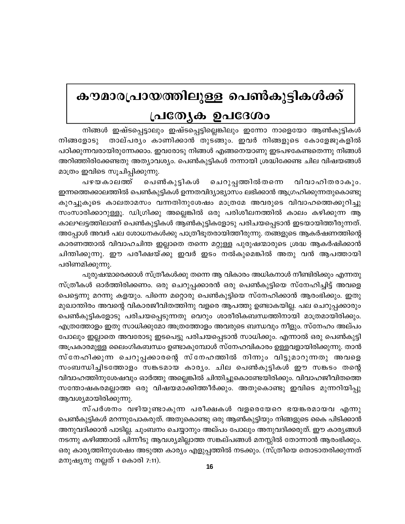# കൗമാരപ്രായത്തിലുള്ള പെൺകുട്ടികൾക്ക് പ്രത്യേക ഉപദേശം

നിങ്ങൾ ഇഷ്ടപ്പെട്ടാലും ഇഷ്ടപ്പെട്ടില്ലെങ്കിലും ഇന്നോ നാളെയോ ആൺകുട്ടികൾ താല്പര്യം കാണിക്കാൻ തുടങ്ങും. ഇവർ നിങ്ങളുടെ കോളേജുകളിൽ നിങ്ങളോടു പഠിക്കുന്നവരായിരുന്നേക്കാം. ഇവരോടു നിങ്ങൾ എങ്ങനെയാണു ഇടപഴകേണ്ടതെന്നു നിങ്ങൾ അറിഞ്ഞിരിക്കേണ്ടതു അത്യാവശ്യം. പെൺകുട്ടികൾ നന്നായി ശ്രദ്ധിക്കേണ്ട ചില വിഷയങ്ങൾ മാത്രം ഇവിടെ സൂചിപ്പിക്കുന്നു.

പഴയകാലത്ത് പെൺകുട്ടികൾ ചെറുപ്പത്തിൽതന്നെ വിവാഹിതരാകും. ഇന്നത്തെക്കാലത്തിൽ പെൺകുട്ടികൾ ഉന്നതവിദ്യാഭ്യാസം ലഭിക്കാൻ ആഗ്രഹിക്കുന്നതുകൊണ്ടു കുറച്ചുകൂടെ കാലതാമസം വന്നതിനുശേഷം മാത്രമേ അവരുടെ വിവാഹത്തെക്കുറിച്ചു സംസാരിക്കാറുള്ളൂ. ഡിഗ്രിക്കു അല്ലെങ്കിൽ ഒരു പരിശീലനത്തിൽ കാലം കഴിക്കുന്ന ആ കാലഘട്ടത്തിലാണ് പെൺകുട്ടികൾ ആൺകുട്ടികളോടു പരിചയപ്പെടാൻ ഇടയായിത്തീരുന്നത്. അപ്പോൾ അവർ പല ശോധനകൾക്കു പാത്രീഭൂതരായിത്തീരുന്നു. തങ്ങളുടെ ആകർഷണത്തിന്റെ കാരണത്താൽ വിവാഹചിന്ത ഇല്ലാതെ തന്നെ മറ്റുള്ള പുരുഷന്മാരുടെ ശ്രദ്ധ ആകർഷിക്കാൻ ചിന്തിക്കുന്നു. ഈ പരീക്ഷയ്ക്കു ഇവർ ഇടം നൽകുമെങ്കിൽ അതു വൻ ആപത്തായി പരിണമിക്കുന്നു.

പുരുഷന്മാരെക്കാൾ സ്ത്രീകൾക്കു തന്നെ ആ വികാരം അധികനാൾ നീണ്ടിരിക്കും എന്നതു സ്ത്രീകൾ ഓർത്തിരിക്കണം. ഒരു ചെറുപ്പക്കാരൻ ഒരു പെൺകുട്ടിയെ സ്നേഹിച്ചിട്ട് അവളെ പെട്ടെന്നു മറന്നു കളയും. പിന്നെ മറ്റൊരു പെൺകുട്ടിയെ സ്നേഹിക്കാൻ ആരംഭിക്കും. ഇതു മുഖാന്തിരം അവന്റെ വികാരജീവിതത്തിനു വളരെ ആപത്തു ഉണ്ടാകയില്ല. പല ചെറുപ്പക്കാരും പെൺകുട്ടികളോടു പരിചയപ്പെടുന്നതു വെറും ശാരീരികബന്ധത്തിനായി മാത്രമായിരിക്കും. എത്രത്തോളം ഇതു സാധിക്കുമോ അത്രത്തോളം അവരുടെ ബന്ധവും നീളും. സ്നേഹം അല്പം പോലും ഇല്ലാതെ അവരോടു ഇടപെട്ടു പരിചയപ്പെടാൻ സാധിക്കും. എന്നാൽ ഒരു പെൺകുട്ടി അപ്രകാരമുള്ള ലൈംഗികബന്ധം ഉണ്ടാകുമ്പോൾ സ്നേഹവികാരം ഉള്ളവളായിരിക്കുന്നു. താൻ സ്നേഹിക്കുന്ന ചെറുപ്പക്കാരന്റെ സ്നേഹത്തിൽ നിന്നും വിട്ടുമാറുന്നതു അവളെ സംബന്ധിച്ചിടത്തോളം സങ്കടമായ കാര്യം. ചില പെൺകുട്ടികൾ ഈ സങ്കടം തന്റെ വിവാഹത്തിനുശേഷവും ഓർത്തു അല്ലെങ്കിൽ ചിന്തിച്ചുകൊണ്ടേയിരിക്കും. വിവാഹജീവിതത്തെ സന്തോഷകരമല്ലാത്ത ഒരു വിഷയമാക്കിത്തീർക്കും. അതുകൊണ്ടു ഇവിടെ മുന്നറിയിപ്പു ആവശ്യമായിരിക്കുന്നു.

സ്പർശനം വഴിയുണ്ടാകുന്ന പരീക്ഷകൾ വളരെയേറെ ഭയങ്കരമായവ എന്നു പെൺകുട്ടികൾ മറന്നുപോകരുത്. അതുകൊണ്ടു ഒരു ആൺകുട്ടിയും നിങ്ങളുടെ കൈ പിടിക്കാൻ അനുവദിക്കാൻ പാടില്ല. ചുംബനം ചെയ്യാനും അല്പം പോലും അനുവദിക്കരുത്. ഈ കാര്യങ്ങൾ നടന്നു കഴിഞ്ഞാൽ പിന്നീടു ആവശ്യമില്ലാത്ത സങ്കല്പങ്ങൾ മനസ്സിൽ തോന്നാൻ ആരംഭിക്കും. ഒരു കാര്യത്തിനുശേഷം അടുത്ത കാര്യം എളുപ്പത്തിൽ നടക്കും. (സ്ത്രീയെ തൊടാതരിക്കുന്നത് മനുഷ്യനു നല്ലത് 1 കൊരി 7:11).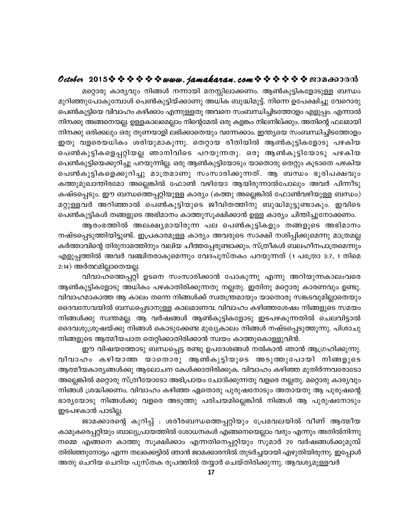## October 2015 \* \* \* \* \* \* www.jamakaran.com \* \* \* \* \* \* \* 2010600010

മറ്റൊരു കാര്യവും നിങ്ങൾ നന്നായി മനസ്സിലാക്കണം. ആൺകുട്ടികളോടുള്ള ബന്ധം മുറിഞ്ഞുപോകുമ്പോൾ പെൺകുട്ടിയ്ക്കാണു അധിക ബുദ്ധിമുട്ട്. നിന്നെ ഉപേക്ഷിച്ചു വേറൊരു പെൺകുട്ടിയെ വിവാഹം കഴിക്കാം എന്നുള്ളതു അവനെ സംബന്ധിച്ചിടത്തോളം എളുപ്പം. എന്നാൽ നിനക്കു അങ്ങനെയല്ല. ഉള്ളകാലമെല്ലാം നിന്റെമേൽ ഒരു കളങ്കം നിലനില്ക്കും. അതിന്റെ ഫലമായി നിനക്കു ഒരിക്കലും ഒരു തുണയാളി ലഭിക്കാതെയും വന്നേക്കാം. ഇന്ത്യയെ സംബന്ധിച്ചിടത്തോളം ഇതു വളരെയധികം ശരിയുമാകുന്നു. തെറ്റായ രീതിയിൽ ആൺകുട്ടികളോടു പഴകിയ പെൺകുട്ടികളെപ്പറ്റിയല്ല ഞാനിവിടെ പറയുന്നതു. ഒരു ആൺകുട്ടിയോടു പഴകിയ പെൺകുട്ടിയെക്കുറിച്ചു പറയുന്നില്ല. ഒരു ആൺകുട്ടിയോടും യാതൊരു തെറ്റും കൂടാതെ പഴകിയ പെൺകുട്ടികളെക്കുറിച്ചു മാത്രമാണു സംസാരിക്കുന്നത്. ആ ബന്ധം ഭൂരിപക്ഷവും കത്തുമുഖാന്തിരമോ അല്ലെങ്കിൽ ഫോൺ വഴിയോ ആയിരുന്നാൽപോലും അവർ പിന്നീടു കഷ്ടപ്പെടും. ഈ ബന്ധത്തെപ്പറ്റിയുള്ള കാര്യം (കത്തു അല്ലെങ്കിൽ ഫോൺവഴിയുള്ള ബന്ധം) മറ്റുള്ളവർ അറിഞ്ഞാൽ പെൺകുട്ടിയുടെ ജീവിതത്തിനു ബുദ്ധിമുട്ടുണ്ടാകും. ഇവിടെ പെൺകുട്ടികൾ തങ്ങളുടെ അഭിമാനം കാത്തുസൂക്ഷിക്കാൻ ഉള്ള കാര്യം ചിന്തിച്ചുനോക്കണം.

ആരംഭത്തിൽ അലക്ഷ്യമായിരുന്ന പല പെൺകുട്ടികളും തങ്ങളുടെ അഭിമാനം നഷ്ടപ്പെടുത്തിയിട്ടുണ്ട്. ഇപ്രകാരമുള്ള കാര്യം അവരുടെ സാക്ഷി നശിപ്പിക്കുമെന്നു മാത്രമല്ല കർത്താവിന്റെ തിരുനാമത്തിനും വലിയ ചീത്തപ്പേരുണ്ടാക്കും. സ്ത്രീകൾ ബലഹീനപാത്രമെന്നും എളുപ്പത്തിൽ അവർ വഞ്ചിതരാകുമെന്നും വേദപുസ്തകം പറയുന്നത് (1 പത്രോ 3:7, 1 തിമെ 2:14) അർത്ഥമില്ലാതെയല്ല.

വിവാഹത്തെപ്പറ്റി ഉടനെ സംസാരിക്കാൻ പോകുന്നു എന്നു അറിയുന്നകാലംവരെ ആൺകുട്ടികളോടു അധികം പഴകാതിരിക്കുന്നതു നല്ലതു. ഇതിനു മറ്റൊരു കാരണവും ഉണ്ടു. വിവാഹമാകാത്ത ആ കാലം തന്നെ നിങ്ങൾക്ക് സ്വതന്ത്രമായും യാതൊരു സങ്കടവുമില്ലാതെയും ദൈവസേവയിൽ ബന്ധപ്പെടാനുള്ള കാലമാണവ. വിവാഹം കഴിഞ്ഞശേഷം നിങ്ങളുടെ സമയം നിങ്ങൾക്കു സ്വന്തമല്ല. ആ വർഷങ്ങൾ ആൺകുട്ടികളോടു ഇടപഴകുന്നതിൽ ചെലവിട്ടാൽ ദൈവശുശ്രൂഷയ്ക്കു നിങ്ങൾ കൊടുക്കേണ്ട മുഖ്യകാലം നിങ്ങൾ നഷ്ടപ്പെടുത്തുന്നു. പിശാചു നിങ്ങളുടെ ആത്മീയപാത തെറ്റിക്കാതിരിക്കാൻ സ്വയം കാത്തുകൊള്ളുവിൻ.

ഈ വിഷയത്തോടു ബന്ധപ്പെട്ട രണ്ടു ഉപദേശങ്ങൾ നൽകാൻ ഞാൻ ആഗ്രഹിക്കുന്നു. വിവാഹം കഴിയാത്ത യാതൊരു ആൺകുട്ടിയുടെ അടുത്തുപോയി നിങ്ങളുടെ ആത്മീയകാര്യങ്ങൾക്കു ആലോചന കേൾക്കാതിരിക്കുക. വിവാഹം കഴിഞ്ഞ മുതിർന്നവരോടോ അല്ലെങ്കിൽ മറ്റൊരു സ്ത്രീയോടോ അഭിപ്രായം ചോദിക്കുന്നതു വളരെ നല്ലതു. മറ്റൊരു കാര്യവും നിങ്ങൾ ശ്രദ്ധിക്കണം. വിവാഹം കഴിഞ്ഞ ഏതൊരു പുരുഷനോടും അതായതു ആ പുരുഷന്റെ ഭാര്യയോടു നിങ്ങൾക്കു വളരെ അടുത്തു പരിചയമില്ലെങ്കിൽ നിങ്ങൾ ആ പുരുഷനോടും ഇടപഴകാൻ പാടില്ല.

ജാമക്കാരന്റെ കുറിപ്പ് : ശരീരബന്ധത്തെപ്പറ്റിയും പ്രേമവലയിൽ വീണ് ആത്മീയ കാമുകരെപ്പറ്റിയും ബാല്യപ്രായത്തിൽ ശോധനകൾ എങ്ങനെയെല്ലാം വരും എന്നും അതിൽനിന്നു നമ്മെ എങ്ങനെ കാത്തു സൂക്ഷിക്കാം എന്നതിനെപ്പറ്റിയും സുമാർ 20 വർഷങ്ങൾക്കുമുമ്പ് തിരിഞ്ഞുനോട്ടം എന്ന തലക്കെട്ടിൽ ഞാൻ ജാമക്കാരനിൽ തുടർച്ചയായി എഴുതിയിരുന്നു. ഇപ്പോൾ അതു ചെറിയ ചെറിയ പുസ്തക രൂപത്തിൽ തയ്യാർ ചെയ്തിരിക്കുന്നു. ആവശ്യമുള്ളവർ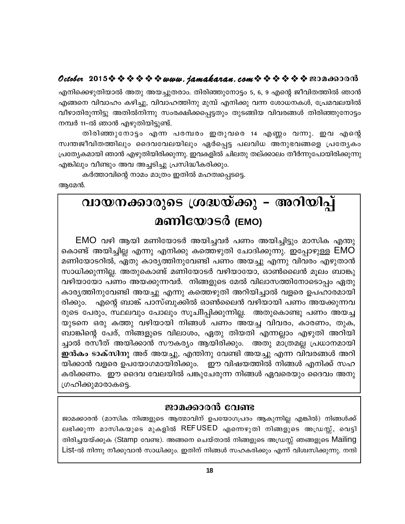## October 2015※※※※※※www.*jamakaran.com*※※※※※※200c60000

എനിക്കെഴുതിയാൽ അതു അയച്ചുതരാം. തിരിഞ്ഞുനോട്ടം 5, 6, 9 എന്റെ ജീവിതത്തിൽ ഞാൻ എങ്ങനെ വിവാഹം കഴിച്ചു, വിവാഹത്തിനു മുമ്പ് എനിക്കു വന്ന ശോധനകൾ, പ്രേമവലയിൽ വീഴാതിരുന്നിട്ടു അതിൽനിന്നു സംരക്ഷിക്കപ്പെട്ടതും തുടങ്ങിയ വിവരങ്ങൾ തിരിഞ്ഞുനോട്ടം നമ്പർ 11-ൽ ഞാൻ എഴുതിയിട്ടുണ്ട്.

തിരിഞ്ഞുനോട്ടം എന്ന പരമ്പരം ഇതുവരെ 14 എണ്ണം വന്നു. ഇവ എന്റെ സ്വന്തജീവിതത്തിലും ദൈവവേലയിലും ഏർപ്പെട്ട പലവിധ അനുഭവങ്ങളെ പ്രത്യേകം പ്രത്യേകമായി ഞാൻ എഴുതിയിരിക്കുന്നു. ഇവകളിൽ ചിലതു തല്ക്കാലം തീർന്നുപോയിരിക്കുന്നു എങ്കിലും വീണ്ടും അവ അച്ചടിച്ചു പ്രസിദ്ധീകരിക്കും.

കർത്താവിന്റെ നാമം മാത്രം ഇതിൽ മഹത്വപ്പെടടെ.

ആമേൻ.

# വായനക്കാരുടെ ശ്രദ്ധയ്ക്കു – അറിയിപ്പ് മണിയോടർ (EMO)

EMO വഴി ആയി മണിയോടർ അയിച്ചവർ പണം അയിച്ചിട്ടും മാസിക എന്തു കൊണ്ട് അയിച്ചില്ല എന്നു എനിക്കു കത്തെഴുതി ചോദിക്കുന്നു. ഇപ്പോഴുള്ള EMO മണിയോടറിൽ, ഏതു കാര്യത്തിനുവേണ്ടി പണം അയച്ചു എന്നു വിവരം എഴുതാൻ സാധിക്കുന്നില്ല. അതുകൊണ്ട് മണിയോടർ വഴിയായോ, ഓൺലൈൻ മൂലം ബാങ്കു വഴിയായോ പണം അയക്കുന്നവർ. നിങ്ങളുടെ മേൽ വിലാസത്തിനോടൊപ്പം ഏതു കാര്യത്തിനുവേണ്ടി അയച്ചു എന്നു കത്തെഴുതി അറിയിച്ചാൽ വളരെ ഉപഹാരമായി എന്റെ ബാങ്ക് പാസ്ബുക്കിൽ ഓൺലൈൻ വഴിയായി പണം അയക്കുന്നവ രിക്കും. രുടെ പേരും, സ്ഥലവും പോലും സൂചിിപ്പിക്കുന്നില്ല. അതുകൊണ്ടു പണം അയച്ച യുടനെ ഒരു കത്തു വഴിയായി നിങ്ങൾ പണം അയച്ച വിവരം, കാരണം, തുക, ബാങ്കിന്റെ പേര്, നിങ്ങളുടെ വിലാശം, ഏതു തിയതി എന്നല്ലാം എഴുതി അറിയി ച്ചാൽ രസീത് അയിക്കാൻ സൗകര്യം ആയിരിക്കും. അതു മാത്രമല്ല പ്രധാനമായി ഇൻകം ടാക്സിനു അര് അയച്ചു, എന്തിനു വേണ്ടി അയച്ചു എന്ന വിവരങ്ങൾ അറി യിക്കാൻ വളരെ ഉപയോഗമായിരിക്കും. ഈ വിഷയത്തിൽ നിങ്ങൾ എനിക്ക് സഹ കരിക്കണം. ഈ ദൈവ വേലയിൽ പങ്കുചേരുന്ന നിങ്ങൾ ഏവരെയും ദൈവം അനു ഗ്രഹിക്കുമാരാകട്ടെ.

## ജാമക്കാരൻ വേണ്ട

ജാമക്കാരൻ (മാസിക നിങ്ങളുടെ ആത്മാവിന് ഉപയോഗപ്രദം ആകുന്നില്ല എങ്കിൽ) നിങ്ങൾക്ക് ലഭിക്കുന്ന മാസികയുടെ മുകളിൽ REFUSED എന്നെഴുതി നിങ്ങളുടെ അഡ്രസ്സ്, വെട്ടി തിരിച്ചയയ്ക്കുക (Stamp വേണ്ട). അങ്ങനെ ചെയ്താൽ നിങ്ങളുടെ അഡ്രസ്സ് ഞങ്ങളുടെ Mailing List-ൽ നിന്നു നീക്കുവാൻ സാധിക്കും. ഇതിന് നിങ്ങൾ സഹകരിക്കും എന്ന് വിശ്വസിക്കുന്നു. നന്ദി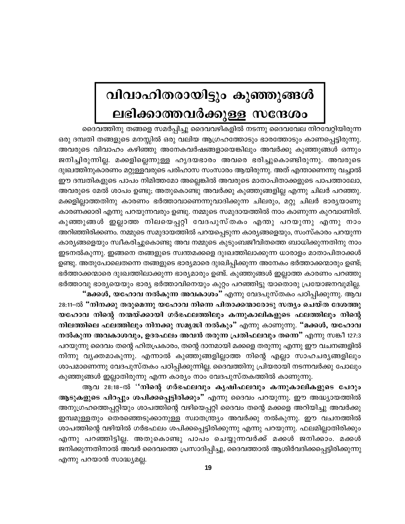# വിവാഹിതരായിട്ടും കുഞ്ഞുങ്ങൾ ലഭിക്കാത്തവർക്കുള്ള സന്ദേശം

ദൈവത്തിനു തങ്ങളെ സമർപ്പിച്ചു ദൈവവഴികളിൽ നടന്നു ദൈവവേല നിറവേറ്റിയിരുന്ന ഒരു ദമ്പതി തങ്ങളുടെ മനസ്സിൽ ഒരു വലിയ ആഗ്രഹത്തോടും ഭാരത്തോടും കാണപ്പെട്ടിരുന്നു. അവരുടെ വിവാഹം കഴിഞ്ഞു അനേകവർഷങ്ങളായെങ്കിലും അവർക്കു കുഞ്ഞുങ്ങൾ ഒന്നും ജനിച്ചിരുന്നില്ല. മക്കളില്ലെന്നുള്ള ഹൃദയഭാരം അവരെ ഭരിച്ചുകൊണ്ടിരുന്നു. അവരുടെ ദുഃഖത്തിനുകാരണം മറ്റുള്ളവരുടെ പരിഹാസ സംസാരം ആയിരുന്നു. അത് എന്താണെന്നു വച്ചാൽ ഈ ദമ്പതികളുടെ പാപം നിമിത്തമോ അല്ലെങ്കിൽ അവരുടെ മാതാപിതാക്കളുടെ പാപത്താലോ, അവരുടെ മേൽ ശാപം ഉണ്ടു; അതുകൊണ്ടു അവർക്കു കുഞ്ഞുങ്ങളില്ല എന്നു ചിലർ പറഞ്ഞു. മക്കളില്ലാത്തതിനു കാരണം ഭർത്താവാണെന്നുവാദിക്കുന്ന ചിലരും, മറ്റു ചിലർ ഭാര്യയാണു കാരണക്കാരി എന്നു പറയുന്നവരും ഉണ്ടു. നമ്മുടെ സമുദായത്തിൽ നാം കാണുന്ന കുറവാണിത്. കുഞ്ഞുങ്ങൾ ഇല്ലാത്ത നിലയെപ്പറ്റി വേദപുസ്തകം എന്തു പറയുന്നു എന്നു നാം അറിഞ്ഞിരിക്കണം. നമ്മുടെ സമുദായത്തിൽ പറയപ്പെടുന്ന കാര്യങ്ങളെയും, സംസ്കാരം പറയുന്ന കാര്യങ്ങളെയും സ്വീകരിച്ചുകൊണ്ടു അവ നമ്മുടെ കുടുംബജീവിതത്തെ ബാധിക്കുന്നതിനു നാം ഇടനൽകുന്നു. ഇങ്ങനെ തങ്ങളുടെ സ്വന്തമക്കളെ ദുഃഖത്തിലാക്കുന്ന ധാരാളം മാതാപിതാക്കൾ ഉണ്ടു. അതുപോലെതന്നെ തങ്ങളുടെ ഭാര്യമാരെ ദുഃഖിപ്പിക്കുന്ന അനേകം ഭർത്താക്കന്മാരും ഉണ്ട്; ഭർത്താക്കന്മാരെ ദുഃഖത്തിലാക്കുന്ന ഭാര്യമാരും ഉണ്ട്. കുഞ്ഞുങ്ങൾ ഇല്ലാത്ത കാരണം പറഞ്ഞു ഭർത്താവു ഭാര്യയെയും ഭാര്യ ഭർത്താവിനെയും കുറ്റം പറഞ്ഞിട്ടു യാതൊരു പ്രയോജനവുമില്ല. **"മക്കൾ, യഹോവ നൽകുന്ന അവകാശം"** എന്നു വേദപുസ്തകം പഠിപ്പിക്കുന്നു. ആവ

28:11-ൽ "നിനക്കു തരുമെന്നു യഹോവ നിന്നെ പിതാക്കന്മാരോടു സത്യം ചെയ്ത ദേശത്തു യഹോവ നിന്റെ നന്മയ്ക്കായി ഗർഭഫലത്തിലും കന്നുകാലികളുടെ ഫലത്തിലും നിന്റെ നിലത്തിലെ ഫലത്തിലും നിനക്കു സമൃദ്ധി നൽകും" എന്നു കാണുന്നു. "മക്കൾ, യഹോവ നൽകുന്ന അവകാശവും, ഉദരഫലം അവൻ തരുന്ന പ്രതിഫലവും തന്നെ" എന്നു സങ്കീ 127:3 പറയുന്നു ദൈവം തന്റെ ഹിതപ്രകാരം, തന്റെ ദാനമായി മക്കളെ തരുന്നു എന്നു ഈ വചനങ്ങളിൽ നിന്നു വൃക്തമാകുന്നു. എന്നാൽ കുഞ്ഞുങ്ങളില്ലാത്ത നിന്റെ എല്ലാ സാഹചര്യങ്ങളിലും ശാപമാണെന്നു വേദപുസ്തകം പഠിപ്പിക്കുന്നില്ല. ദൈവത്തിനു പ്രിയരായി നടന്നവർക്കു പോലും കുഞ്ഞുങ്ങൾ ഇല്ലാതിരുന്നു എന്ന കാര്യം നാം വേദപുസ്തകത്തിൽ കാണുന്നു.

ആവ 28:18-ൽ ''നിന്റെ ഗർഭഫലവും കൃഷിഫലവും കന്നുകാലികളുടെ പേറും ആടുകളുടെ പിറപ്പും ശപിക്കപ്പെട്ടിരിക്കും" എന്നു ദൈവം പറയുന്നു. ഈ അദ്ധ്യായത്തിൽ അനുഗ്രഹത്തെപ്പറ്റിയും ശാപത്തിന്റെ വഴിയെപ്പറ്റി ദൈവം തന്റെ മക്കളെ അറിയിച്ചു അവർക്കു ഇമ്പമുള്ളതും തെരഞ്ഞെടുക്കാനുള്ള സ്വാതന്ത്ര്യം അവർക്കു നൽകുന്നു. ഈ വചനത്തിൽ ശാപത്തിന്റെ വഴിയിൽ ഗർഭഫലം ശപിക്കപ്പെട്ടിരിക്കുന്നു എന്നു പറയുന്നു. ഫലമില്ലാതിരിക്കും എന്നു പറഞ്ഞിട്ടില്ല. അതുകൊണ്ടു പാപം ചെയ്യുന്നവർക്ക് മക്കൾ ജനിക്കാം. മക്കൾ ജനിക്കുന്നതിനാൽ അവർ ദൈവത്തെ പ്രസാദിപ്പിച്ചു, ദൈവത്താൽ ആശിർവദിക്കപ്പെട്ടിരിക്കുന്നു എന്നു പറയാൻ സാദ്ധ്യമല്ല.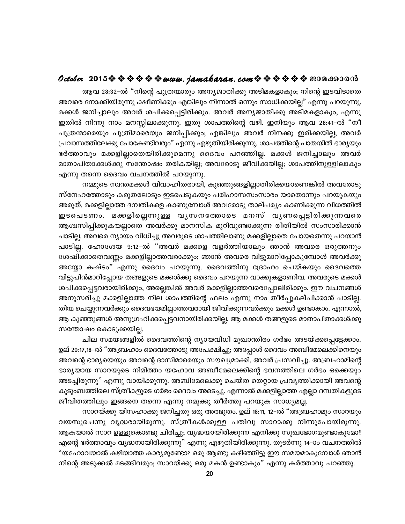## October 2015  $\diamond$   $\diamond$   $\diamond$   $\diamond$   $\diamond$   $\diamond$  www.jamakaran.com  $\diamond$   $\diamond$   $\diamond$   $\diamond$   $\diamond$   $\diamond$  exondood

ആവ 28:32-ൽ "നിന്റെ പുത്രന്മാരും അന്യജാതിക്കു അടിമകളാകും; നിന്റെ ഇടവിടാതെ അവരെ നോക്കിയിരുന്നു ക്ഷീണിക്കും എങ്കിലും നിന്നാൽ ഒന്നും സാധിക്കയില്ല" എന്നു പറയുന്നു. മക്കൾ ജനിച്ചാലും അവർ ശപിക്കപ്പെട്ടിരിക്കും. അവർ അന്യജാതിക്കു അടിമകളാകും, എന്നു ഇതിൽ നിന്നു നാം മനസ്സിലാക്കുന്നു. ഇതു ശാപത്തിന്റെ വഴി. ഇനിയും ആവ 28:41-ൽ "നീ പുത്രന്മാരെയും പുത്രിമാരെയും ജനിപ്പിക്കും; എങ്കിലും അവർ നിനക്കു ഇരിക്കയില്ല; അവർ പ്രവാസത്തിലേക്കു പോകേണ്ടിവരും" എന്നു എഴുതിയിരിക്കുന്നു. ശാപത്തിന്റെ പാതയിൽ ഭാര്യയും ഭർത്താവും മക്കളില്ലാതെയിരിക്കുമെന്നു ദൈവം പറഞ്ഞില്ല. മക്കൾ ജനിച്ചാലും അവർ മാതാപിതാക്കൾക്കു സന്തോഷം തരികയില്ല; അവരോടു ജീവിക്കയില്ല; ശാപത്തിനുള്ളിലാകും എന്നു തന്നെ ദൈവം വചനത്തിൽ പറയുന്നു.

നമ്മുടെ സ്വന്തമക്കൾ വിവാഹിതരായി, കുഞ്ഞുങ്ങളില്ലാതിരിക്കയാണെങ്കിൽ അവരോടു സ്നേഹത്തോടും കരുതലോടും ഇടപെടുകയും പരിഹാസസംസാരം യാതൊന്നും പറയുകയും അരുത്. മക്കളില്ലാത്ത ദമ്പതികളെ കാണുമ്പോൾ അവരോടു താല്പര്യം കാണിക്കുന്ന വിധത്തിൽ ഇടപെടണം. മക്കളില്ലെന്നുള്ള വൃസനത്തോടെ മനസ് വൃണപ്പെട്ടിരിക്കുന്നവരെ ആശ്വസിപ്പിക്കുകയല്ലാതെ അവർക്കു മാനസിക മുറിവുണ്ടാക്കുന്ന രീതിയിൽ സംസാരിക്കാൻ പാടില്ല. അവരെ ന്യായം വിധിച്ചു അവരുടെ ശാപത്തിലാണു മക്കളില്ലാതെ പോയതെന്നു പറയാൻ പാടില്ല. ഹോശേയ 9:12-ൽ "അവർ മക്കളെ വളർത്തിയാലും ഞാൻ അവരെ ഒരുത്തനും ശേഷിക്കാതെവണ്ണം മക്കളില്ലാത്തവരാക്കും; ഞാൻ അവരെ വിട്ടുമാറിപ്പോകുമ്പോൾ അവർക്കു അയ്യോ കഷ്ടം" എന്നു ദൈവം പറയുന്നു. ദൈവത്തിനു ദ്രോഹം ചെയ്കയും ദൈവത്തെ വിട്ടുപിൻമാറിപ്പോയ തങ്ങളുടെ മക്കൾക്കു ദൈവം പറയുന്ന വാക്കുകളാണിവ. അവരുടെ മക്കൾ ശപിക്കപ്പെട്ടവരായിരിക്കും, അല്ലെങ്കിൽ അവർ മക്കളില്ലാത്തവരെപ്പോലിരിക്കും. ഈ വചനങ്ങൾ അനുസരിച്ചു മക്കളില്ലാത്ത നില ശാപത്തിന്റെ ഫലം എന്നു നാം തീർപ്പുകല്പിക്കാൻ പാടില്ല. തിന്മ ചെയ്യുന്നവർക്കും ദൈവഭയമില്ലാത്തവരായി ജീവിക്കുന്നവർക്കും മക്കൾ ഉണ്ടാകാം. എന്നാൽ, ആ കുഞ്ഞുങ്ങൾ അനുഗ്രഹിക്കപ്പെട്ടവനായിരിക്കയില്ല. ആ മക്കൾ തങ്ങളുടെ മാതാപിതാക്കൾക്കു സന്തോഷം കൊടുക്കയില്ല.

ചില സമയങ്ങളിൽ ദൈവത്തിന്റെ ന്യായവിധി മുഖാന്തിരം ഗർഭം അടയ്ക്കപ്പെട്ടേക്കാം. ഉല് 20:17,18-ൽ "അബ്രഹാം ദൈവത്തോടു അപേക്ഷിച്ചു; അപ്പോൾ ദൈവം അബീമേലെക്കിനെയും അവന്റെ ഭാര്യയെയും അവന്റെ ദാസിമാരെയും സൗഖ്യമാക്കി, അവർ പ്രസവിച്ചു. അബ്രഹാമിന്റെ ഭാര്യയായ സാറയുടെ നിമിത്തം യഹോവ അബീമേലെക്കിന്റെ ഭവനത്തിലെ ഗർഭം ഒക്കെയും അടച്ചിരുന്നു" എന്നു വായിക്കുന്നു. അബിമേലെക്കു ചെയ്ത തെറ്റായ പ്രവൃത്തിക്കായി അവന്റെ കുടുംബത്തിലെ സ്ത്രീകളുടെ ഗർഭം ദൈവം അടെച്ചു. എന്നാൽ മക്കളില്ലാത്ത എല്ലാ ദമ്പതികളുടെ ജീവിതത്തിലും ഇങ്ങനെ തന്നെ എന്നു നമുക്കു തീർത്തു പറയുക സാധ്യമല്ല.

സാറയ്ക്കു യിസഹാക്കു ജനിച്ചതു ഒരു അത്ഭുതം. ഉല് 18:11, 12–ൽ "അബ്രഹാമും സാറയും വയസുചെന്നു വൃദ്ധരായിരുന്നു. സ്ത്രീകൾക്കുള്ള പതിവു സാറാക്കു നിന്നുപോയിരുന്നു. ആകയാൽ സാറ ഉള്ളുകൊണ്ടു ചിരിച്ചു; വൃദ്ധയായിരിക്കുന്ന എനിക്കു സുഖഭോഗമുണ്ടാകുമോ? എന്റെ ഭർത്താവും വൃദ്ധനായിരിക്കുന്നു" എന്നു എഴുതിയിരിക്കുന്നു. തുടർന്നു 14–ാം വചനത്തിൽ "യഹോവയാൽ കഴിയാത്ത കാര്യമുണ്ടോ? ഒരു ആണ്ടു കഴിഞ്ഞിട്ടു ഈ സമയമാകുമ്പോൾ ഞാൻ നിന്റെ അടുക്കൽ മടങ്ങിവരും; സാറയ്ക്കു ഒരു മകൻ ഉണ്ടാകും" എന്നു കർത്താവു പറഞ്ഞു.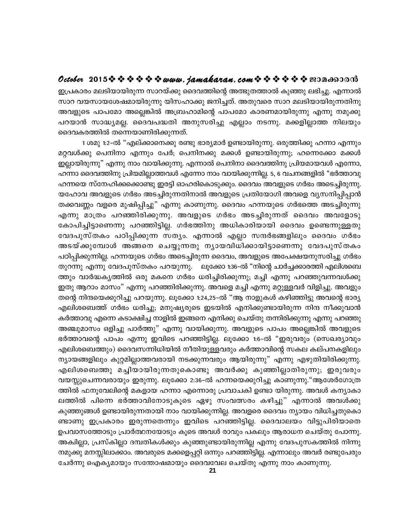## October 2015 \* \* \* \* \* \* www.jamakaran.com \* \* \* \* \* \* \* 2010600010

ഇപ്രകാരം മലടിയായിരുന്ന സാറയ്ക്കു ദൈവത്തിന്റെ അത്ഭുതത്താൽ കുഞ്ഞു ലഭിച്ചു. എന്നാൽ സാറ വയസായശേഷമായിരുന്നു യിസഹാക്കു ജനിച്ചത്. അതുവരെ സാറ മലടിയായിരുന്നതിനു അവളുടെ പാപമോ അല്ലെങ്കിൽ അബ്രഹാമിന്റെ പാപമോ കാരണമായിരുന്നു എന്നു നമുക്കു പറയാൻ സാദ്ധ്യമല്ല. ദൈവപദ്ധതി അനുസരിച്ചു എല്ലാം നടന്നു. മക്കളില്ലാത്ത നിലയും ദൈവകരത്തിൽ തന്നെയാണിരിക്കുന്നത്.

1 ശമു 1:2-ൽ "എല്ക്കാനെക്കു രണ്ടു ഭാര്യമാർ ഉണ്ടായിരുന്നു. ഒരുത്തിക്കു ഹന്നാ എന്നും മറ്റവൾക്കു പെനിനാ എന്നും പേർ; പെനിനക്കു മക്കൾ ഉണ്ടായിരുന്നു; ഹന്നെക്കോ മക്കൾ ഇല്ലായിരുന്നു" എന്നു നാം വായിക്കുന്നു. എന്നാൽ പെനിനാ ദൈവത്തിനു പ്രിയമായവൾ എന്നോ, ഹന്നാ ദൈവത്തിനു പ്രിയമില്ലാത്തവൾ എന്നോ നാം വായിക്കുന്നില്ല. 5, 6 വചനങ്ങളിൽ "ഭർത്താവു ഹന്നയെ സ്നേഹിക്കക്കൊണ്ടു ഇരട്ടി ഓഹരികൊടുക്കും. ദൈവം അവളുടെ ഗർഭം അടെച്ചിരുന്നു. യഹോവ അവളുടെ ഗർഭം അടച്ചിരുന്നതിനാൽ അവളുടെ പ്രതിയോഗി അവളെ വൃസനിപ്പിപ്പാൻ തക്കവണ്ണം വളരെ മുഷിപ്പിച്ചു" എന്നു കാണുന്നു. ദൈവം ഹന്നയുടെ ഗർഭത്തെ അടച്ചിരുന്നു എന്നു മാത്രം പറഞ്ഞിരിക്കുന്നു. അവളുടെ ഗർഭം അടച്ചിരുന്നത് ദൈവം അവളോടു കോപിച്ചിട്ടാണെന്നു പറഞ്ഞിട്ടില്ല. ഗർഭത്തിനു അധികാരിയായി ദൈവം ഉണ്ടെന്നുള്ളതു വേദപുസ്തകം പഠിപ്പിക്കുന്ന സത്യം. എന്നാൽ എല്ലാ സന്ദർഭങ്ങളിലും ദൈവം ഗർഭം അടയ്ക്കുമ്പോൾ അങ്ങനെ ചെയ്യുന്നതു നൃായവിധിക്കായിട്ടാണെന്നു വേദപുസ്തകം പഠിപ്പിക്കുന്നില്ല. ഹന്നയുടെ ഗർഭം അടെച്ചിരുന്ന ദൈവം, അവളുടെ അപേക്ഷയനുസരിച്ചു ഗർഭം തുറന്നു എന്നു വേദപുസ്തകം പറയുന്നു. ലൂക്കോ 1:36–ൽ "നിന്റെ ചാർച്ചക്കാരത്തി എലിശബെ ത്തും വാർദ്ധകൃത്തിൽ ഒരു മകനെ ഗർഭം ധരിച്ചിരിക്കുന്നു; മച്ചി എന്നു പറഞ്ഞുവന്നവൾക്കു ഇതു ആറാം മാസം" എന്നു പറഞ്ഞിരിക്കുന്നു. അവളെ മച്ചി എന്നു മറ്റുള്ളവർ വിളിച്ചു. അവളും തന്റെ നിന്ദയെക്കുറിച്ചു പറയുന്നു. ലൂക്കോ 1:24,25–ൽ "ആ നാളുകൾ കഴിഞ്ഞിട്ടു അവന്റെ ഭാര്യ എലിശബെത്ത് ഗർഭം ധരിച്ചു; മനുഷ്യരുടെ ഇടയിൽ എനിക്കുണ്ടായിരുന്ന നിന്ദ നീക്കുവാൻ കർത്താവു എന്നെ കടാക്ഷിച്ച നാളിൽ ഇങ്ങനെ എനിക്കു ചെയ്തു തന്നിരിക്കുന്നു എന്നു പറഞ്ഞു അഞ്ചുമാസം ഒളിച്ചു പാർത്തു" എന്നു വായിക്കുന്നു. അവളുടെ പാപം അല്ലെങ്കിൽ അവളുടെ ഭർത്താവന്റെ പാപം എന്നു ഇവിടെ പറഞ്ഞിട്ടില്ല. ലൂക്കോ 1:6-ൽ "ഇരുവരും (സെഖര്യാവും എലിശബെത്തും) ദൈവസന്നിധിയിൽ നീതിയുള്ളവരും കർത്താവിന്റെ സകല കല്പനകളിലും ന്യായങ്ങളിലും കുറ്റമില്ലാത്തവരായി നടക്കുന്നവരും ആയിരുന്നു" എന്നു എഴുതിയിരിക്കുന്നു. എലിശബെത്തു മച്ചിയായിരുന്നതുകൊണ്ടു അവർക്കു കുഞ്ഞില്ലാതിരുന്നു; ഇരുവരും വയസ്സുചെന്നവരായും ഇരുന്നു. ലൂക്കോ 2:36–ൽ ഹന്നയെക്കുറിച്ചു കാണുന്നു."ആശേർഗോത്ര ത്തിൽ ഫനൂവേലിന്റെ മകളായ ഹന്നാ എന്നൊരു പ്രവാചകി ഉണ്ടാ യിരുന്നു. അവൾ കന്യാകാ ലത്തിൽ പിന്നെ ഭർത്താവിനോടുകൂടെ ഏഴു സംവത്സരം കഴിച്ചു" എന്നാൽ അവൾക്കു കുഞ്ഞുങ്ങൾ ഉണ്ടായിരുന്നതായി നാം വായിക്കുന്നില്ല. അവളരെ ദൈവം ന്യായം വിധിച്ചതുകൊ ണ്ടാണു ഇപ്രകാരം ഇരുന്നതെന്നും ഇവിടെ പറഞ്ഞിട്ടില്ല. ദൈവാലയം വിട്ടുപിരിയാതെ ഉപവാസത്തോടും പ്രാർത്ഥനയോടും കൂടെ അവൾ രാവും പകലും ആരാധന ചെയ്തു പോന്നു. അക്വില്ലാ, പ്രസ്കില്ലാ ദമ്പതികൾക്കും കുഞ്ഞുണ്ടായിരുന്നില്ല എന്നു വേദപുസകത്തിൽ നിന്നു നമുക്കു മനസ്സിലാക്കാം. അവരുടെ മക്കളെപ്പറ്റി ഒന്നും പറഞ്ഞിട്ടില്ല. എന്നാലും അവർ രണ്ടുപേരും ചേർന്നു ഐക്യമായും സന്തോഷമായും ദൈവവേല ചെയ്തു എന്നു നാം കാണുന്നു.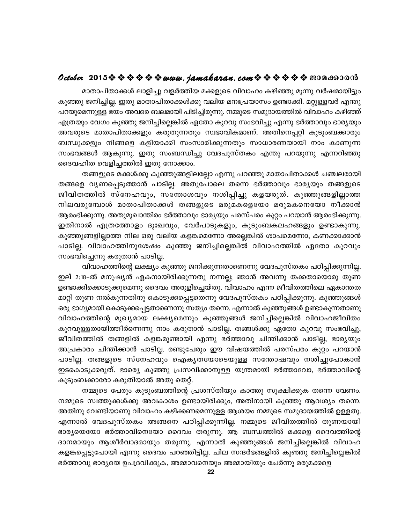## October 2015  $\diamond$   $\diamond$   $\diamond$   $\diamond$   $\diamond$   $\diamond$  www.jamakaran.com  $\diamond$   $\diamond$   $\diamond$   $\diamond$   $\diamond$   $\diamond$   $\diamond$  200 as 300

മാതാപിതാക്കൾ ലാളിച്ചു വളർത്തിയ മക്കളുടെ വിവാഹം കഴിഞ്ഞു മൂന്നു വർഷമായിട്ടും കുഞ്ഞു ജനിച്ചില്ല. ഇതു മാതാപിതാക്കൾക്കു വലിയ മനഃപ്രയാസം ഉണ്ടാക്കി. മറ്റുള്ളവർ എന്തു പറയുമെന്നുള്ള ഭയം അവരെ ബലമായി പിടിച്ചിരുന്നു. നമ്മുടെ സമുദായത്തിൽ വിവാഹം കഴിഞ്ഞ് എത്രയും വേഗം കുഞ്ഞു ജനിച്ചില്ലെങ്കിൽ ഏതോ കുറവു സംഭവിച്ചു എന്നു ഭർത്താവും ഭാര്യയും അവരുടെ മാതാപിതാക്കളും കരുതുന്നതും സ്വഭാവികമാണ്. അതിനെപ്പറ്റി കുടുംബക്കാരും ബന്ധുക്കളും നിങ്ങളെ കളിയാക്കി സംസാരിക്കുന്നതും സാധാരണയായി നാം കാണുന്ന സംഭവങ്ങൾ ആകുന്നു. ഇതു സംബന്ധിച്ചു വേദപുസ്തകം എന്തു പറയുന്നു എന്നറിഞ്ഞു ദൈവഹിത വെളിച്ചത്തിൽ ഇതു നോക്കാം.

തങ്ങളുടെ മക്കൾക്കു കുഞ്ഞുങ്ങളിലല്ലോ എന്നു പറഞ്ഞു മാതാപിതാക്കൾ ചഞ്ചലരായി തങ്ങളെ വൃണപ്പെടുത്താൻ പാടില്ല. അതുപോലെ തന്നെ ഭർത്താവും ഭാര്യയും തങ്ങളുടെ ജീവിതത്തിൽ സ്നേഹവും, സന്തോശവും നശിപ്പിച്ചു കളയരുത്. കുഞ്ഞുങ്ങളില്ലാത്ത നിലവരുമ്പോൾ മാതാപിതാക്കൾ തങ്ങളുടെ മരുമകളെയോ മരുമകനെയോ നീക്കാൻ ആരംഭിക്കുന്നു. അതുമുഖാന്തിരം ഭർത്താവും ഭാര്യയും പരസ്പരം കുറ്റം പറയാൻ ആരംഭിക്കുന്നു. ഇതിനാൽ എത്രത്തോളം ദുഃഖവും, വേർപാടുകളും, കുടുംബകലഹങ്ങളും ഉണ്ടാകുന്നു. കുഞ്ഞുങ്ങളില്ലാത്ത നില ഒരു വലിയ കളങ്കമെന്നോ അല്ലെങ്കിൽ ശാപമെന്നോ, കണക്കാക്കാൻ പാടില്ല. വിവാഹത്തിനുശേഷം കുഞ്ഞു ജനിച്ചില്ലെങ്കിൽ വിവാഹത്തിൽ ഏതോ കുറവും സംഭവിച്ചെന്നു കരുതാൻ പാടില്ല.

വിവാഹത്തിന്റെ ലക്ഷ്യം കുഞ്ഞു ജനിക്കുന്നതാണെന്നു വേദപുസ്തകം പഠിപ്പിക്കുന്നില്ല. ഇല് 2:18-ൽ മനുഷ്യൻ ഏകനായിരിക്കുന്നതു നന്നല്ല; ഞാൻ അവന്നു തക്കതായൊരു തുണ ഉണ്ടാക്കിക്കൊടുക്കുമെന്നു ദൈവം അരുളിച്ചെയ്തു. വിവാഹം എന്ന ജീവിതത്തിലെ ഏകാന്തത മാറ്റി തുണ നൽകുന്നതിനു കൊടുക്കപ്പെട്ടതെന്നു വേദപുസ്തകം പഠിപ്പിക്കുന്നു. കുഞ്ഞുങ്ങൾ ഒരു ഭാഗ്യമായി കൊടുക്കപ്പെട്ടതാണെന്നു സത്യം തന്നെ. എന്നാൽ കുഞ്ഞുങ്ങൾ ഉണ്ടാകുന്നതാണു വിവാഹത്തിന്റെ മുഖ്യമായ ലക്ഷ്യമെന്നും കുഞ്ഞുങ്ങൾ ജനിച്ചില്ലെങ്കിൽ വിവാഹജീവിതം കുറവുള്ളതായിത്തീർന്നെന്നു നാം കരുതാൻ പാടില്ല. തങ്ങൾക്കു ഏതോ കുറവു സംഭവിച്ചു, ജീവിതത്തിൽ തങ്ങളിൽ കളങ്കമുണ്ടായി എന്നു ഭർത്താവു ചിന്തിക്കാൻ പാടില്ല, ഭാര്യയും അപ്രകാരം ചിന്തിക്കാൻ പാടില്ല. രണ്ടുപേരും ഈ വിഷയത്തിൽ പരസ്പരം കുറ്റം പറയാൻ പാടില്ല. തങ്ങളുടെ സ്നേഹവും ഐകൃതയോടെയുള്ള സന്തോഷവും നശിച്ചുപോകാൻ ഇടകൊടുക്കരുത്. ഭാരെ്യ കുഞ്ഞു പ്രസവിക്കാനുള്ള യന്ത്രമായി ഭർത്താവോ, ഭർത്താവിന്റെ കുടുംബക്കാരോ കരുതിയാൽ അതു തെറ്റ്.

നമ്മുടെ പേരും കുടുംബത്തിന്റെ പ്രശസ്തിയും കാത്തു സൂക്ഷിക്കുക തന്നെ വേണം. നമ്മുടെ സ്വത്തുക്കൾക്കു അവകാശം ഉണ്ടായിരിക്കും, അതിനായി കുഞ്ഞു ആവശ്യം തന്നെ. അതിനു വേണ്ടിയാണു വിവാഹം കഴിക്കണമെന്നുള്ള ആശയം നമ്മുടെ സമുദായത്തിൽ ഉള്ളതു. എന്നാൽ വേദപുസ്തകം അങ്ങനെ പഠിപ്പിക്കുന്നില്ല. നമ്മുടെ ജീവിതത്തിൽ തുണയായി ഭാര്യയെയോ ഭർത്താവിനെയോ ദൈവം തരുന്നു. ആ ബന്ധത്തിൽ മക്കളെ ദൈവത്തിന്റെ ദാനമായും ആശീർവാദമായും തരുന്നു. എന്നാൽ കുഞ്ഞുങ്ങൾ ജനിച്ചില്ലെങ്കിൽ വിവാഹ കളങ്കപ്പെട്ടുപോയി എന്നു ദൈവം പറഞ്ഞിട്ടില്ല. ചില സന്ദർഭങ്ങളിൽ കുഞ്ഞു ജനിച്ചില്ലെങ്കിൽ ഭർത്താവു ഭാര്യയെ ഉപദ്രവിക്കുക, അമ്മാവനെയും അമ്മായിയും ചേർന്നു മരുമക്കളെ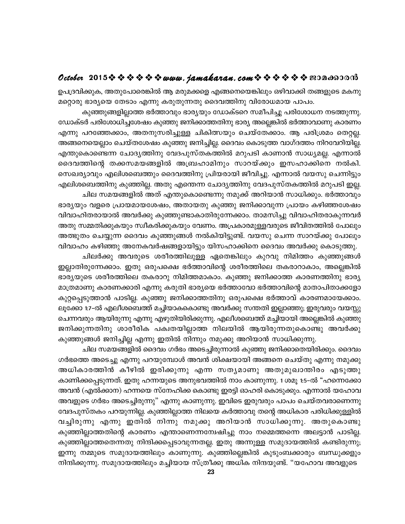## October 2015  $\diamond$   $\diamond$   $\diamond$   $\diamond$   $\diamond$   $\diamond$  www.jamakaran.com  $\diamond$   $\diamond$   $\diamond$   $\diamond$   $\diamond$   $\diamond$   $\diamond$  200 as 300

ഉപദ്രവിക്കുക, അതുപോരെങ്കിൽ ആ മരുമക്കളെ എങ്ങനെയെങ്കിലും ഒഴിവാക്കി തങ്ങളുടെ മകനു മറ്റൊരു ഭാര്യയെ തേടാം എന്നു കരുതുന്നതു ദൈവത്തിനു വിരോധമായ പാപം.

കുഞ്ഞുങ്ങളില്ലാത്ത ഭർത്താവും ഭാര്യയും ഡോക്ടറെ സമീപിച്ചു പരിശോധന നടത്തുന്നു. ഡോക്ടർ പരിശോധിച്ചശേഷം കുഞ്ഞു ജനിക്കാത്തതിനു ഭാര്യ അല്ലെങ്കിൽ ഭർത്താവാണു കാരണം എന്നു പറഞ്ഞേക്കാം, അതനുസരിച്ചുള്ള ചികിത്സയും ചെയ്തേക്കാം. ആ പരിശ്രമം തെറ്റല്ല. അങ്ങനെയെല്ലാം ചെയ്തശേഷം കുഞ്ഞു ജനിച്ചില്ല. ദൈവം കൊടുത്ത വാഗ്ദത്തം നിറവേറിയില്ല. എന്തുകൊണ്ടെന്ന ചോദ്യത്തിനു വേദപുസ്തകത്തിൽ മറുപടി കാണാൻ സാധ്യമല്ല. എന്നാൽ ദൈവത്തിന്റെ തക്കസമയങ്ങളിൽ അബ്രഹാമിനും സാറയ്ക്കും ഇസഹാക്കിനെ നൽകി. സെഖര്യാവും എലിശബെത്തും ദൈവത്തിനു പ്രിയരായി ജീവിച്ചു. എന്നാൽ വയസു ചെന്നിട്ടും എലിശബെത്തിനു കുഞ്ഞില്ല. അതു എന്തെന്ന ചോദ്യത്തിനു വേദപുസ്തകത്തിൽ മറുപടി ഇല്ല. ചില സമയങ്ങളിൽ അത് എന്തുകൊണ്ടെന്നു നമുക്ക് അറിയാൻ സാധിക്കും. ഭർത്താവും

ഭാര്യയും വളരെ പ്രായമായശേഷം, അതായതു കുഞ്ഞു ജനിക്കാവുന്ന പ്രായം കഴിഞ്ഞശേഷം വിവാഹിതരായാൽ അവർക്കു കുഞ്ഞുണ്ടാകാതിരുന്നേക്കാം. താമസിച്ചു വിവാഹിതരാകുന്നവർ അതു സമ്മതിക്കുകയും സ്വീകരിക്കുകയും വേണം. അപ്രകാരമുള്ളവരുടെ ജീവിതത്തിൽ പോലും അത്ഭുതം ചെയ്യുന്ന ദൈവം കുഞ്ഞുങ്ങൾ നൽകിയിട്ടുണ്ട്. വയസു ചെന്ന സാറയ്ക്കു പോലും വിവാഹം കഴിഞ്ഞു അനേകവർഷങ്ങളായിട്ടും യിസഹാക്കിനെ ദൈവം അവർക്കു കൊടുത്തു.

ചിലർക്കു അവരുടെ ശരീരത്തിലുള്ള ഏതെങ്കിലും കുറവു നിമിത്തം കുഞ്ഞുങ്ങൾ ഇല്ലാതിരുന്നേക്കാം. ഇതു ഒരുപക്ഷെ ഭർത്താവിന്റെ ശരീരത്തിലെ തകരാറാകാം, അല്ലെങ്കിൽ ഭാര്യയുടെ ശരീരത്തിലെ തകരാറു നിമിത്തമാകാം. കുഞ്ഞു ജനിക്കാത്ത കാരണത്തിനു ഭാര്യ മാത്രമാണു കാരണക്കാരി എന്നു കരുതി ഭാര്യയെ ഭർത്താവോ ഭർത്താവിന്റെ മാതാപിതാക്കളോ കുറ്റപ്പെടുത്താൻ പാടില്ല. കുഞ്ഞു ജനിക്കാത്തതിനു ഒരുപക്ഷെ ഭർത്താവ് കാരണമായേക്കാം. ലൂക്കോ 1:7–ൽ എലീശബെത്ത് മച്ചിയാകകൊണ്ടു അവർക്കു സന്തതി ഇല്ലാഞ്ഞു; ഇരുവരും വയസ്സു ചെന്നവരും ആയിരുന്നു എന്നു എഴുതിയിരിക്കുന്നു. എലീശബെത്ത് മച്ചിയായി അല്ലെങ്കിൽ കുഞ്ഞു ജനിക്കുന്നതിനു ശാരീരിക പക്വതയില്ലാത്ത നിലയിൽ ആയിരുന്നതുകൊണ്ടു അവർക്കു കുഞ്ഞുങ്ങൾ ജനിച്ചില്ല എന്നു ഇതിൽ നിന്നും നമുക്കു അറിയാൻ സാധിക്കുന്നു.

ചില സമയങ്ങളിൽ ദൈവം ഗർഭം അടെച്ചിരുന്നാൽ കുഞ്ഞു ജനിക്കാതെയിരിക്കും. ദൈവം ഗർഭത്തെ അടെച്ചു എന്നു പറയുമ്പോൾ അവൻ ശിക്ഷയായി അങ്ങനെ ചെയ്തു എന്നു നമുക്കു അധികാരത്തിൻ കീഴിൽ ഇരിക്കുന്നു എന്ന സതൃമാണു അതുമുഖാന്തിരം എടുത്തു കാണിക്കപ്പെടുന്നത്. ഇതു ഹന്നയുടെ അനുഭവത്തിൽ നാം കാണുന്നു. 1 ശമൂ 1:5–ൽ "ഹന്നെക്കോ അവൻ (എൽക്കാന) ഹന്നയെ സ്നേഹിക്ക കൊണ്ടു ഇരട്ടി ഓഹരി കൊടുക്കും. എന്നാൽ യഹോവ അവളുടെ ഗർഭം അടെച്ചിരുന്നു" എന്നു കാണുന്നു. ഇവിടെ ഇരുവരും പാപം ചെയ്തവരാണെന്നു വേദപുസ്തകം പറയുന്നില്ല. കുഞ്ഞില്ലാത്ത നിലയെ കർത്താവു തന്റെ അധികാര പരിധിക്കുള്ളിൽ വച്ചിരുന്നു എന്നു ഇതിൽ നിന്നു നമുക്കു അറിയാൻ സാധിക്കുന്നു. അതുകൊണ്ടു കുഞ്ഞില്ലാത്തതിന്റെ കാരണം എന്താണെന്നന്വേഷിച്ചു നാം നമ്മെത്തന്നെ അലട്ടാൻ പാടില്ല. കുഞ്ഞില്ലാത്തതെന്നതു നിന്ദിക്കപ്പെടാവുന്നതല്ല. ഇതു അന്നുള്ള സമുദായത്തിൽ കണ്ടിരുന്നു; ഇന്നു നമ്മുടെ സമുദായത്തിലും കാണുന്നു. കുഞ്ഞില്ലെങ്കിൽ കുടുംബക്കാരും ബന്ധുക്കളും നിന്ദിക്കുന്നു. സമുദായത്തിലും മച്ചിയായ സ്ത്രീക്കു അധിക നിന്ദയുണ്ട്. "യഹോവ അവളുടെ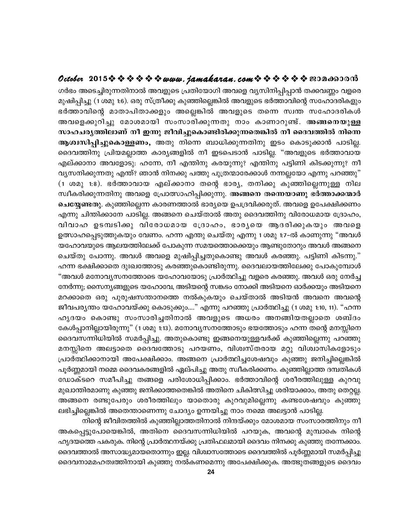## October 2015 \* \* \* \* \* \* www.jamakaran.com \* \* \* \* \* \* \* 2010600010

ഗർഭം അടെച്ചിരുന്നതിനാൽ അവളുടെ പ്രതിയോഗി അവളെ വൃസിനിപ്പിപ്പാൻ തക്കവണ്ണം വളരെ മുഷിപ്പിച്ചു (1 ശമു 1:6). ഒരു സ്ത്രീക്കു കുഞ്ഞില്ലെങ്കിൽ അവളുടെ ഭർത്താവിന്റെ സഹോദരികളും ഭർത്താവിന്റെ മാതാപിതാക്കളും അല്ലെങ്കിൽ അവളുടെ തന്നെ സ്വന്ത സഹോദരികൾ അവളെക്കുറിച്ചു മോശമായി സംസാരിക്കുന്നതു നാം കാണാറുണ്ട്. അങ്ങനെയുള്ള സാഹചര്യത്തിലാണ് നീ ഇന്നു ജീവിച്ചുകൊണ്ടിരിക്കുന്നതെങ്കിൽ നീ ദൈവത്തിൽ നിന്നെ ആശ്വസിപ്പിച്ചുകൊള്ളണം, അതു നിന്നെ ബാധിക്കുന്നതിനു ഇടം കൊടുക്കാൻ പാടില്ല. ദൈവത്തിനു പ്രിയമല്ലാത്ത കാര്യങ്ങളിൽ നീ ഇടപെടാൻ പാടില്ല. "അവളുടെ ഭർത്താവായ എല്ക്കാനാ അവളോടു: ഹന്നേ, നീ എന്തിനു കരയുന്നു? എന്തിനു പട്ടിണി കിടക്കുന്നു? നീ വ്യസനിക്കുന്നതു എന്ത്? ഞാൻ നിനക്കു പത്തു പുത്രന്മാരേക്കാൾ നന്നല്ലയോ എന്നു പറഞ്ഞു" (1 ശമു 1:8). ഭർത്താവായ എല്ക്കാനാ തന്റെ ഭാര്യ, തനിക്കു കുഞ്ഞില്ലെന്നുള്ള നില സ്വീകരിക്കുന്നതിനു അവളെ പ്രോത്സാഹിപ്പിക്കുന്നു. അങ്ങനെ തന്നെയാണു ഭർത്താക്കന്മാർ **ചെയ്യേണ്ടതു**. കുഞ്ഞില്ലെന്ന കാരണത്താൽ ഭാര്യയെ ഉപദ്രവിക്കരുത്. അവളെ ഉപേക്ഷിക്കണം എന്നു ചിന്തിക്കാനേ പാടില്ല. അങ്ങനെ ചെയ്താൽ അതു ദൈവത്തിനു വിരോധമായ ദ്രോഹം, വിവാഹ ഉടമ്പടിക്കു വിരോധമായ ദ്രോഹം, ഭാരൃയെ ആദരിക്കുകയും അവളെ ഉത്സാഹപ്പെടുത്തുകയും വേണം. ഹന്ന എന്തു ചെയ്തു എന്നു 1 ശമു 1:7–ൽ കാണുന്നു "അവൾ യഹോവയുടെ ആലയത്തിലേക്ക് പോകുന്ന സമയത്തൊക്കെയും ആണ്ടുതോറും അവൾ അങ്ങനെ ചെയ്തു പോന്നു. അവൾ അവളെ മുഷിപ്പിച്ചതുകൊണ്ടു അവൾ കരഞ്ഞു. പട്ടിണി കിടന്നു." ഹന്ന ഭക്ഷിക്കാതെ ദുഃഖത്തോടു കരഞ്ഞുകൊണ്ടിരുന്നു. ദൈവലായത്തിലേക്കു പോകുമ്പോൾ "അവൾ മനോവൃസനത്തോടെ യഹോവയോടു പ്രാർത്ഥിച്ചു വളരെ കരഞ്ഞു. അവൾ ഒരു നേർച്ച നേർന്നു; സൈന്യങ്ങളുടെ യഹോവേ, അടിയന്റെ സങ്കടം നോക്കി അടിയനെ ഓർക്കയും അടിയനെ മറക്കാതെ ഒരു പുരുഷസന്താനത്തെ നൽകുകയും ചെയ്താൽ അടിയൻ അവനെ അവന്റെ ജീവപര്യന്തം യഹോവയ്ക്കു കൊടുക്കും...." എന്നു പറഞ്ഞു പ്രാർത്ഥിച്ചു (1 ശമു 1:10, 11). "ഹന്ന ഹൃദയം കൊണ്ടു സംസാരിച്ചതിനാൽ അവളുടെ അധരം അനങ്ങിയതല്ലാതെ ശബ്ദം കേൾപ്പാനില്ലായിരുന്നു" (1 ശമു 1:13). മനോവ്യസനത്തോടും ഭയത്തോടും ഹന്ന തന്റെ മനസ്സിനെ ദൈവസന്നിധിയിൽ സമർപ്പിച്ചു. അതുകൊണ്ടു ഇങ്ങനെയുള്ളവർക്ക് കുഞ്ഞില്ലെന്നു പറഞ്ഞു മനസ്സിനെ അലട്ടാതെ ദൈവത്തോടു പറയണം, വിശ്വസ്തരായ മറ്റു വിശ്വാസികളോടും പ്രാർത്ഥിക്കാനായി അപേക്ഷിക്കാം. അങ്ങനെ പ്രാർത്ഥിച്ചശേഷവും കുഞ്ഞു ജനിച്ചില്ലെങ്കിൽ പൂർണ്ണമായി നമ്മെ ദൈവകരങ്ങളിൽ ഏല്പിച്ചു അതു സ്വീകരിക്കണം. കുഞ്ഞില്ലാത്ത ദമ്പതികൾ ഡോക്ടറെ സമീപിച്ചു തങ്ങളെ പരിശോധിപ്പിക്കാം. ഭർത്താവിന്റെ ശരീരത്തിലുള്ള കുറവു മുഖാന്തിരമാണു കുഞ്ഞു ജനിക്കാത്തതെങ്കിൽ അതിനെ ചികിത്സിച്ചു ശരിയാക്കാം, അതു തെറ്റല്ല. അങ്ങനെ രണ്ടുപേരും ശരീരത്തിലും യാതൊരു കുറവുമില്ലെന്നു കണ്ടശേഷവും കുഞ്ഞു ലഭിച്ചില്ലെങ്കിൽ അതെന്താണെന്നു ചോദ്യം ഉന്നയിച്ചു നാം നമ്മെ അലട്ടാൻ പാടില്ല.

നിന്റെ ജീവിതത്തിൽ കുഞ്ഞില്ലാത്തതിനാൽ നിന്ദയ്ക്കും മോശമായ സംസാരത്തിനും നീ അകപ്പെട്ടുപോയെങ്കിൽ, അതിനെ ദൈവസന്നിധിയിൽ പറയുക, അവന്റെ മുമ്പാകെ നിന്റെ ഹൃദയത്തെ പകരുക. നിന്റെ പ്രാർത്ഥനയ്ക്കു പ്രതിഫലമായി ദൈവം നിനക്കു കുഞ്ഞു തന്നേക്കാം. ദൈവത്താൽ അസാദ്ധ്യമായതൊന്നും ഇല്ല. വിശ്വാസത്തോടെ ദൈവത്തിൽ പൂർണ്ണമായി സമർപ്പിച്ചു ദൈവനാമമഹത്വത്തിനായി കുഞ്ഞു നൽകണമെന്നു അപേക്ഷിക്കുക. അത്ഭുതങ്ങളുടെ ദൈവം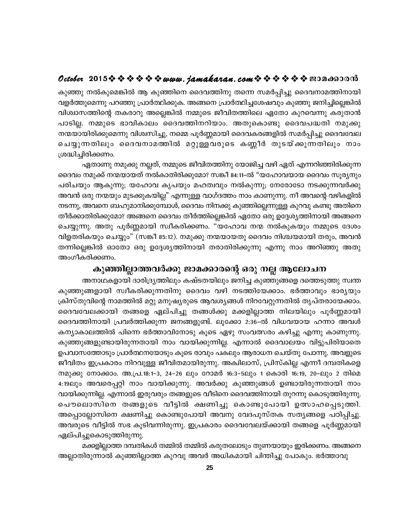## October 2015  $\diamond$   $\diamond$   $\diamond$   $\diamond$   $\diamond$   $\diamond$  www.jamakaran.com  $\diamond$   $\diamond$   $\diamond$   $\diamond$   $\diamond$   $\diamond$  exondood

കുഞ്ഞു നൽകുമെങ്കിൽ ആ കുഞ്ഞിനെ ദൈവത്തിനു തന്നെ സമർപ്പിച്ചു ദൈവനാമത്തിനായി വളർത്തുമെന്നു പറഞ്ഞു പ്രാർത്ഥിക്കുക. അങ്ങനെ പ്രാർത്ഥിച്ചശേഷവും കുഞ്ഞു ജനിച്ചില്ലെങ്കിൽ വിശ്വാസത്തിന്റെ തകരാറു അല്ലെങ്കിൽ നമ്മുടെ ജീവിതത്തിലെ ഏതോ കുറവെന്നു കരുതാൻ പാടില്ല. നമ്മുടെ ഭാവികാലം ദൈവത്തിനറിയാം. അതുകൊണ്ടു ദൈവപദ്ധതി നമുക്കു നന്മയായിരിക്കുമെന്നു വിശ്വസിച്ചു, നമ്മെ പൂർണ്ണമായി ദൈവകരങ്ങളിൽ സമർപ്പിച്ചു ദൈവവേല ചെയ്യുന്നതിലും ദൈവനാമത്തിൽ മറ്റുള്ളവരുടെ കണ്ണീർ തുടയ്ക്കുന്നതിലും നാം ശ്രദ്ധിച്ചിരിക്കണം.

ഏതാണു നമുക്കു നല്ലത്, നമ്മുടെ ജീവിതത്തിനു യോജിച്ച വഴി ഏത് എന്നറിഞ്ഞിരിക്കുന്ന ദൈവം നമുക്ക് നന്മയായത് നൽകാതിരിക്കുമോ? സങ്കീ 84:11–ൽ "യഹോവയായ ദൈവം സൂര്യനും പരിചയും ആകുന്നു; യഹോവ കൃപയും മഹത്വവും നൽകുന്നു; നേരോടോ നടക്കുന്നവർക്കു അവൻ ഒരു നന്മയും മുടക്കുകയില്ല" എന്നുള്ള വാഗ്ദത്തം നാം കാണുന്നു. നീ അവന്റെ വഴികളിൽ നടന്നു, അവനെ ബഹുമാനിക്കുമ്പോൾ, ദൈവം നിനക്കു കുഞ്ഞില്ലെന്നുള്ള കുറവു കണ്ടു അതിനെ തീർക്കാതിരിക്കുമോ? അങ്ങനെ ദൈവം തീർത്തില്ലെങ്കിൽ ഏതോ ഒരു ഉദ്ദേശ്യത്തിനായി അങ്ങനെ ചെയ്യുന്നു. അതു പൂർണ്ണമായി സ്വീകരിക്കണം. "യഹോവ നന്മ നൽകുകയും നമ്മുടെ ദേശം വിളതരികയും ചെയ്യും" (സങ്കീ 85:12). നമുക്കു നന്മയായതു ദൈവം നിശ്ചയമായി തരും, അവൻ തന്നില്ലെങ്കിൽ ഓതോ ഒരു ഉദ്ദേശ്യത്തിനായി തരാതിരിക്കുന്നു എന്നു നാം അറിഞ്ഞു അതു അംഗീകരിക്കണം.

## കുഞ്ഞില്ലാത്തവർക്കു ജാമക്കാരന്റെ ഒരു നല്ല ആലോചന

അനാഥകളായി ദാരിദ്ര്യത്തിലും കഷ്ടതയിലും ജനിച്ച കുഞ്ഞുങ്ങളെ ദത്തെടുത്തു സ്വന്ത കുഞ്ഞുങ്ങളായി സ്വീകരിക്കുന്നതിനു ദൈവം വഴി നടത്തിയേക്കാം. ഭർത്താവും ഭാര്യയും ക്രിസ്തുവിന്റെ നാമത്തിൽ മറ്റു മനുഷ്യരുടെ ആവശ്യങ്ങൾ നിറവേറ്റുന്നതിൽ തൃപ്തരായേക്കാം. ദൈവവേലക്കായി തങ്ങളെ ഏല്പിച്ചു തങ്ങൾക്കു മക്കളില്ലാത്ത നിലയിലും പൂർണ്ണമായി ദൈവത്തിനായി പ്രവർത്തിക്കുന്ന ജനങ്ങളുണ്ട്. ലൂക്കോ 2:36-ൽ വിധവയായ ഹന്നാ അവൾ കന്യാകാലത്തിൽ പിന്നെ ഭർത്താവിനോടു കൂടെ ഏഴു സംവത്സരം കഴിച്ചു എന്നു കാണുന്നു. കുഞ്ഞുങ്ങളുണ്ടായിരുന്നതായി നാം വായിക്കുന്നില്ല. എന്നാൽ ദൈവാലയം വിട്ടുപിരിയാതെ ഉപവാസത്തോടും പ്രാർത്ഥനയോടും കൂടെ രാവും പകലും ആരാധന ചെയ്തു പോന്നു. അവളുടെ ജീവിതം ഇപ്രകാരം നിറവുള്ള ജീവിതമായിരുന്നു. അക്വിലാസ്, പ്രിസ്കില്ല എന്നീ ദമ്പതികളെ നമുക്കു നോക്കാം. അ.പ്ര.18:1-3, 24-26 ലും റോമർ 16:3-5ലും 1 കൊരി 16:19, 20-ലും 2 തിമെ 4:19ലും അവരെപ്പറ്റി നാം വായിക്കുന്നു. അവർക്കു കുഞ്ഞുങ്ങൾ ഉണ്ടായിരുന്നതായി നാം വായിക്കുന്നില്ല. എന്നാൽ ഇരുവരും തങ്ങളുടെ വീടിനെ ദൈവത്തിനായി തുറന്നു കൊടുത്തിരുന്നു. പൌലൊസിനെ തങ്ങളുടെ വീട്ടിൽ ക്ഷണിച്ചു കൊണ്ടുപോയി ഉത്സാഹപ്പെടുത്തി. അപ്പൊല്ലോസിനെ ക്ഷണിച്ചു കൊണ്ടുപോയി അവനു വേദപുസ്തക സത്യങ്ങളെ പഠിപ്പിച്ചു. അവരുടെ വീട്ടിൽ സഭ കൂടിവന്നിരുന്നു. ഇപ്രകാരം ദൈവവേലയ്ക്കായി തങ്ങളെ പൂർണ്ണമായി ഏല്പിച്ചുകൊടുത്തിരുന്നു.

മക്കളില്ലാത്ത ദമ്പതികൾ തമ്മിൽ തമ്മിൽ കരുതലോടും തുണയായും ഇരിക്കണം. അങ്ങനെ അല്ലാതിരുന്നാൽ കുഞ്ഞില്ലാത്ത കുറവു അവർ അധികമായി ചിന്തിച്ചു പോകും. ഭർത്താവു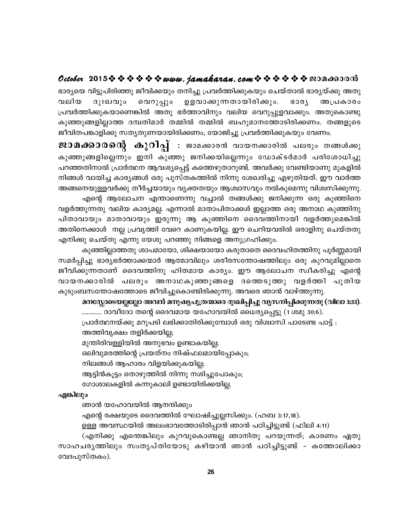## October 2015  $\diamond$   $\diamond$   $\diamond$   $\diamond$   $\diamond$   $\diamond$  www. jamakaran.com  $\diamond$   $\diamond$   $\diamond$   $\diamond$   $\diamond$   $\diamond$  exondood

ഭാര്യയെ വിട്ടുപിരിഞ്ഞു ജീവിക്കയും തനിച്ചു പ്രവർത്തിക്കുകയും ചെയ്താൽ ഭാര്യയ്ക്കു അതു വലിയ ദുഃഖവും വെറുപ്പും ഉളവാക്കുന്നതായിരിക്കും. **GOQY** അപ്രകാരം പ്രവർത്തിക്കുകയാണെങ്കിൽ അതു ഭർത്താവിനും വലിയ വെറുപ്പുളവാക്കും. അതുകൊണ്ടു കുഞ്ഞുങ്ങളില്ലാത്ത ദമ്പതിമാർ തമ്മിൽ തമ്മിൽ ബഹുമാനത്തോടിരിക്കണം. തങ്ങളുടെ ജീവിതപങ്കാളിക്കു സത്യതുണയായിരിക്കണം, യോജിച്ചു പ്രവർത്തിക്കുകയും വേണം.

ജാമക്കാരന്റെ കുറിപ്പ് : ജാമക്കാരൻ വായനക്കാരിൽ പലരും തങ്ങൾക്കു കുഞ്ഞുങ്ങളില്ലെന്നും ഇനി കുഞ്ഞു ജനിക്കയില്ലെന്നും ഡോക്ടർമാർ പരിശോധിച്ചു പറഞ്ഞതിനാൽ പ്രാർത്ഥന ആവശ്യപ്പെട്ട് കത്തെഴുതാറുണ്ട്. അവർക്കു വേണ്ടിയാണു മുകളിൽ നിങ്ങൾ വായിച്ച കാര്യങ്ങൾ ഒരു പുസ്തകത്തിൽ നിന്നു ശേഖരിച്ചു എഴുതിയത്. ഈ വാർത്ത അങ്ങനെയുള്ളവർക്കു തീർച്ചയായും വ്യക്തതയും ആശ്വാസവും നൽകുമെന്നു വിശ്വസിക്കുന്നു.

എന്റെ ആലോചന എന്താണെന്നു വച്ചാൽ തങ്ങൾക്കു ജനിക്കുന്ന ഒരു കുഞ്ഞിനെ വളർത്തുന്നതു വലിയ കാര്യമല്ല. എന്നാൽ മാതാപിതാക്കൾ ഇല്ലാത്ത ഒരു അനാഥ കുഞ്ഞിനു പിതാവായും മാതാവായും ഇരുന്നു ആ കുഞ്ഞിനെ ദൈവത്തിനായി വളർത്തുമെങ്കിൽ അതിനെക്കാൾ നല്ല പ്രവൃത്തി വേറെ കാണുകയില്ല. ഈ ചെറിയവരിൽ ഒരാളിനു ചെയ്തതു എനിക്കു ചെയ്തു എന്നു യേശു പറഞ്ഞു നിങ്ങളെ അനുഗ്രഹിക്കും.

കുഞ്ഞില്ലാത്തതു ശാപമായോ, ശിക്ഷയായോ കരുതാതെ ദൈവഹിതത്തിനു പൂർണ്ണമായി സമർപ്പിച്ചു ഭാര്യഭർത്താക്കന്മാർ ആത്മാവിലും ശരീരസന്തോഷത്തിലും ഒരു കുറവുമില്ലാതെ ജീവിക്കുന്നതാണ് ദൈവത്തിനു ഹിതമായ കാര്യം. ഈ ആലോചന സ്വീകരിച്ചു എന്റെ വായനക്കാരിൽ പലരും അനാഥകുഞ്ഞുങ്ങളെ ദത്തെടുത്തു വളർത്തി പുതിയ കുടുംബസന്തോഷത്തോടെ ജീവിച്ചുകൊണ്ടിരിക്കുന്നു. അവരെ ഞാൻ വാഴ്ത്തുന്നു.

#### മനസ്സോടെയല്ലല്ലോ അവൻ മനുഷ്യപുത്രന്മാരെ ദുഃഖിപ്പിച്ചു വൃസനിപ്പിക്കുന്നതു (വിലാ 3:33).

............ ദാവീദോ തന്റെ ദൈവമായ യഹോവയിൽ ധൈര്യപ്പെട്ടു (1 ശമു 30:6). പ്രാർത്ഥനയ്ക്കു മറുപടി ലഭിക്കാതിരിക്കുമ്പോൾ ഒരു വിശ്വാസി പാടേണ്ട പാട്ട് : അത്തിവൃക്ഷം തളിർക്കയില്ല; മുന്തിരിവള്ളിയിൽ അനുഭവം ഉണ്ടാകയില്ല; ഒലിവുമരത്തിന്റെ പ്രയത്നം നിഷ്ഫലമായിപ്പോകും; നിലങ്ങൾ ആഹാരം വിളയിക്കുകയില്ല; ആട്ടിൻകൂട്ടം തൊഴുത്തിൽ നിന്നു നശിച്ചുപോകും; ഗോശാലകളിൽ കന്നുകാലി ഉണ്ടായിരിക്കയില്ല.

#### എങ്കിലും

ഞാൻ യഹോവയിൽ ആനന്ദിക്കും

എന്റെ രക്ഷയുടെ ദൈവത്തിൽ ഘോഷിച്ചുല്ലസിക്കും. (ഹബ 3:17,18).

ഉള്ള അവസ്ഥയിൽ അലംഭാവത്തോടിരിപ്പാൻ ഞാൻ പഠിച്ചിട്ടുണ്ട് (ഫിലി 4:11)

(എനിക്കു എന്തെങ്കിലും കുറവുകൊണ്ടല്ല ഞാനിതു പറയുന്നത്; കാരണം ഏതു സാഹചരൃത്തിലും സംതൃപ്തിയോടു കഴിയാൻ ഞാൻ പഠിച്ചിട്ടുണ്ട് - കത്തോലിക്കാ വേദപുസ്തകം).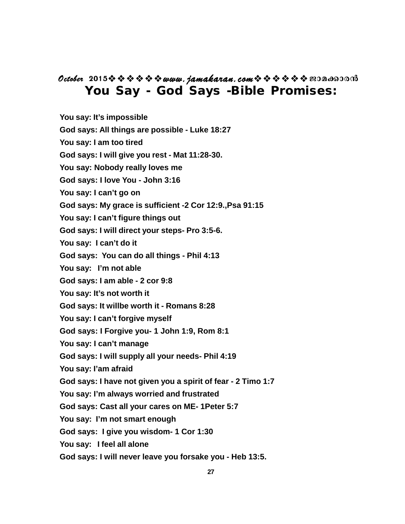## **You Say - God Says -Bible Promises: October** 2015<sup> $\diamond$ </sup>  $\diamond$   $\diamond$   $\diamond$   $\diamond$  www.jamakaran.com  $\diamond$   $\diamond$   $\diamond$   $\diamond$   $\diamond$   $\diamond$   $\diamond$  200 a600000

- **You say: It's impossible**
- **God says: All things are possible Luke 18:27**
- **You say: I am too tired**
- **God says: I will give you rest Mat 11:28-30.**
- **You say: Nobody really loves me**
- **God says: I love You John 3:16**
- **You say: I can't go on**
- **God says: My grace is sufficient -2 Cor 12:9.,Psa 91:15**
- **You say: I can't figure things out**
- **God says: I will direct your steps- Pro 3:5-6.**
- **You say: I can't do it**
- **God says: You can do all things Phil 4:13**
- **You say: I'm not able**
- **God says: I am able 2 cor 9:8**
- **You say: It's not worth it**
- **God says: It willbe worth it Romans 8:28**
- **You say: I can't forgive myself**
- **God says: I Forgive you- 1 John 1:9, Rom 8:1**
- **You say: I can't manage**
- **God says: I will supply all your needs- Phil 4:19**
- **You say: I'am afraid**
- **God says: I have not given you a spirit of fear 2 Timo 1:7**
- **You say: I'm always worried and frustrated**
- **God says: Cast all your cares on ME- 1Peter 5:7**
- **You say: I'm not smart enough**
- **God says: I give you wisdom- 1 Cor 1:30**
- **You say: I feel all alone**
- **God says: I will never leave you forsake you Heb 13:5.**